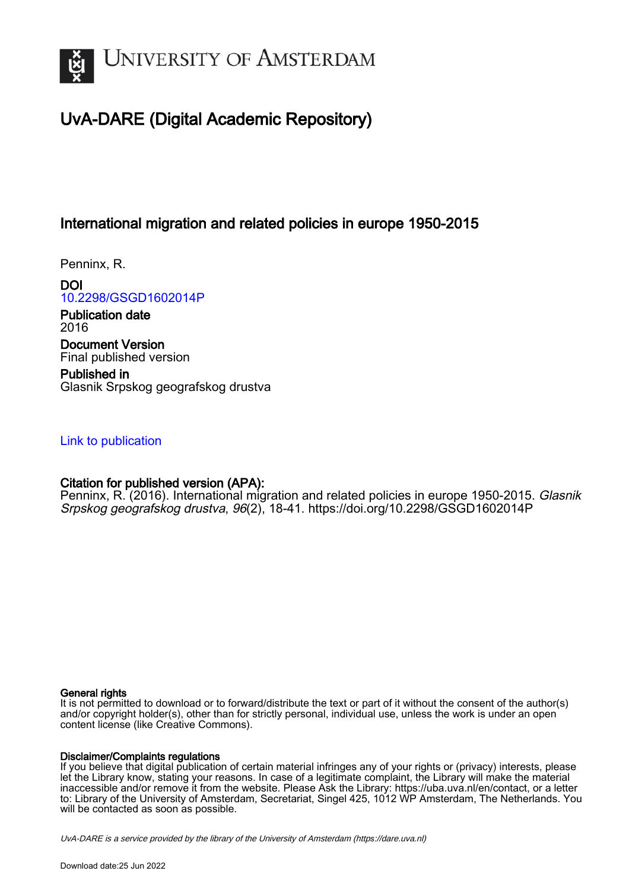

# UvA-DARE (Digital Academic Repository)

## International migration and related policies in europe 1950-2015

Penninx, R.

DOI [10.2298/GSGD1602014P](https://doi.org/10.2298/GSGD1602014P)

Publication date 2016 Document Version Final published version

Published in Glasnik Srpskog geografskog drustva

## [Link to publication](https://dare.uva.nl/personal/pure/en/publications/international-migration-and-related-policies-in-europe-19502015(6f8389e4-f56f-4807-a82b-07a9f2a582ea).html)

## Citation for published version (APA):

Penninx, R. (2016). International migration and related policies in europe 1950-2015. Glasnik Srpskog geografskog drustva, 96(2), 18-41. <https://doi.org/10.2298/GSGD1602014P>

## General rights

It is not permitted to download or to forward/distribute the text or part of it without the consent of the author(s) and/or copyright holder(s), other than for strictly personal, individual use, unless the work is under an open content license (like Creative Commons).

## Disclaimer/Complaints regulations

If you believe that digital publication of certain material infringes any of your rights or (privacy) interests, please let the Library know, stating your reasons. In case of a legitimate complaint, the Library will make the material inaccessible and/or remove it from the website. Please Ask the Library: https://uba.uva.nl/en/contact, or a letter to: Library of the University of Amsterdam, Secretariat, Singel 425, 1012 WP Amsterdam, The Netherlands. You will be contacted as soon as possible.

UvA-DARE is a service provided by the library of the University of Amsterdam (http*s*://dare.uva.nl)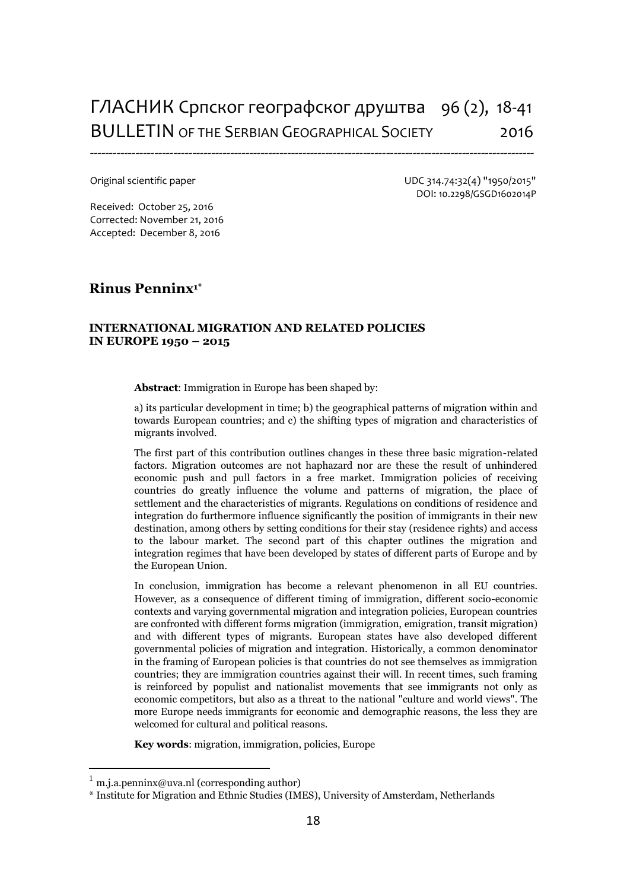# ГЛАСНИК Српског географског друштва 96 (2), 18-41 BULLETIN OF THE SERBIAN GEOGRAPHICAL SOCIETY 2016

---------------------------------------------------------------------------------------------------------------------

Original scientific paper UDC 314.74:32(4) "1950/2015" DOI: 10.2298/GSGD1602014P

Received: October 25, 2016 Corrected: November 21, 2016 Accepted: December 8, 2016

## **Rinus Penninx1\***

#### **INTERNATIONAL MIGRATION AND RELATED POLICIES IN EUROPE 1950 – 2015**

**Abstract**: Immigration in Europe has been shaped by:

a) its particular development in time; b) the geographical patterns of migration within and towards European countries; and c) the shifting types of migration and characteristics of migrants involved.

The first part of this contribution outlines changes in these three basic migration-related factors. Migration outcomes are not haphazard nor are these the result of unhindered economic push and pull factors in a free market. Immigration policies of receiving countries do greatly influence the volume and patterns of migration, the place of settlement and the characteristics of migrants. Regulations on conditions of residence and integration do furthermore influence significantly the position of immigrants in their new destination, among others by setting conditions for their stay (residence rights) and access to the labour market. The second part of this chapter outlines the migration and integration regimes that have been developed by states of different parts of Europe and by the European Union.

In conclusion, immigration has become a relevant phenomenon in all EU countries. However, as a consequence of different timing of immigration, different socio-economic contexts and varying governmental migration and integration policies, European countries are confronted with different forms migration (immigration, emigration, transit migration) and with different types of migrants. European states have also developed different governmental policies of migration and integration. Historically, a common denominator in the framing of European policies is that countries do not see themselves as immigration countries; they are immigration countries against their will. In recent times, such framing is reinforced by populist and nationalist movements that see immigrants not only as economic competitors, but also as a threat to the national "culture and world views". The more Europe needs immigrants for economic and demographic reasons, the less they are welcomed for cultural and political reasons.

**Key words**: migration, immigration, policies, Europe

 $\overline{\phantom{a}}$ 

[m.j.a.penninx@uva.nl](mailto:m.j.a.penninx@uva.nl) (corresponding author)

<sup>\*</sup> Institute for Migration and Ethnic Studies (IMES), University of Amsterdam, Netherlands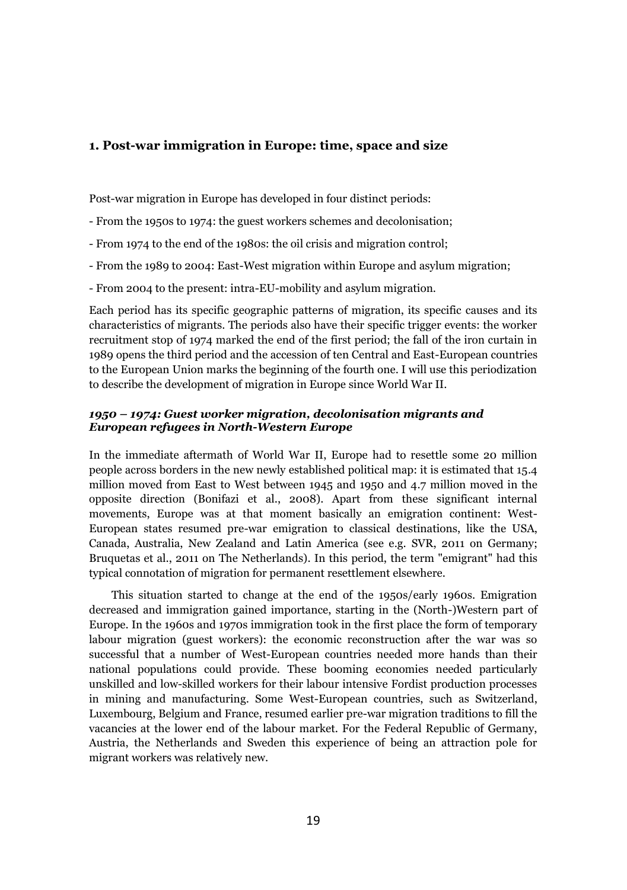## **1. Post-war immigration in Europe: time, space and size**

Post-war migration in Europe has developed in four distinct periods:

- From the 1950s to 1974: the guest workers schemes and decolonisation;
- From 1974 to the end of the 1980s: the oil crisis and migration control;
- From the 1989 to 2004: East-West migration within Europe and asylum migration;
- From 2004 to the present: intra-EU-mobility and asylum migration.

Each period has its specific geographic patterns of migration, its specific causes and its characteristics of migrants. The periods also have their specific trigger events: the worker recruitment stop of 1974 marked the end of the first period; the fall of the iron curtain in 1989 opens the third period and the accession of ten Central and East-European countries to the European Union marks the beginning of the fourth one. I will use this periodization to describe the development of migration in Europe since World War II.

### *1950 – 1974: Guest worker migration, decolonisation migrants and European refugees in North-Western Europe*

In the immediate aftermath of World War II, Europe had to resettle some 20 million people across borders in the new newly established political map: it is estimated that 15.4 million moved from East to West between 1945 and 1950 and 4.7 million moved in the opposite direction (Bonifazi et al., 2008). Apart from these significant internal movements, Europe was at that moment basically an emigration continent: West-European states resumed pre-war emigration to classical destinations, like the USA, Canada, Australia, New Zealand and Latin America (see e.g. SVR, 2011 on Germany; Bruquetas et al., 2011 on The Netherlands). In this period, the term "emigrant" had this typical connotation of migration for permanent resettlement elsewhere.

This situation started to change at the end of the 1950s/early 1960s. Emigration decreased and immigration gained importance, starting in the (North-)Western part of Europe. In the 1960s and 1970s immigration took in the first place the form of temporary labour migration (guest workers): the economic reconstruction after the war was so successful that a number of West-European countries needed more hands than their national populations could provide. These booming economies needed particularly unskilled and low-skilled workers for their labour intensive Fordist production processes in mining and manufacturing. Some West-European countries, such as Switzerland, Luxembourg, Belgium and France, resumed earlier pre-war migration traditions to fill the vacancies at the lower end of the labour market. For the Federal Republic of Germany, Austria, the Netherlands and Sweden this experience of being an attraction pole for migrant workers was relatively new.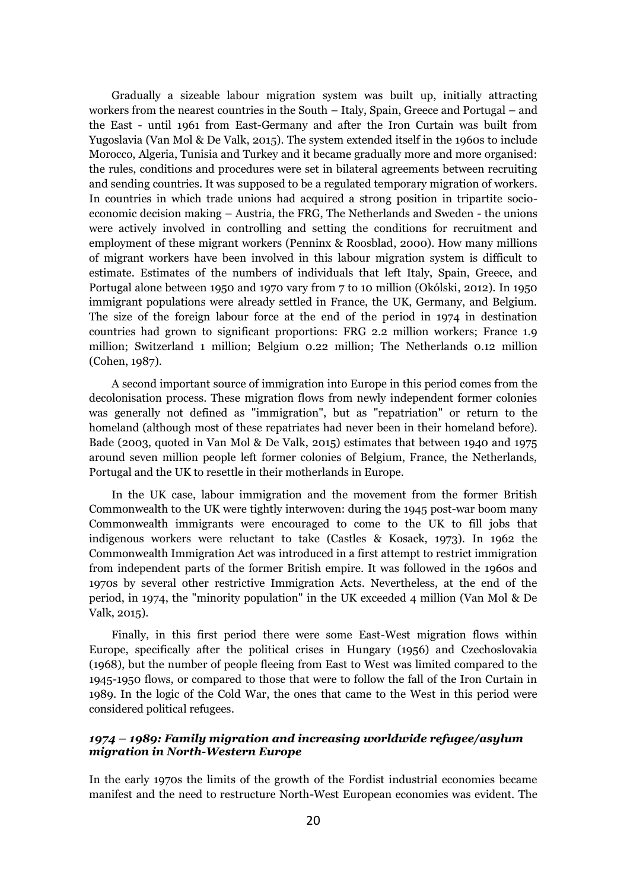Gradually a sizeable labour migration system was built up, initially attracting workers from the nearest countries in the South – Italy, Spain, Greece and Portugal – and the East - until 1961 from East-Germany and after the Iron Curtain was built from Yugoslavia (Van Mol & De Valk, 2015). The system extended itself in the 1960s to include Morocco, Algeria, Tunisia and Turkey and it became gradually more and more organised: the rules, conditions and procedures were set in bilateral agreements between recruiting and sending countries. It was supposed to be a regulated temporary migration of workers. In countries in which trade unions had acquired a strong position in tripartite socioeconomic decision making – Austria, the FRG, The Netherlands and Sweden - the unions were actively involved in controlling and setting the conditions for recruitment and employment of these migrant workers (Penninx & Roosblad, 2000). How many millions of migrant workers have been involved in this labour migration system is difficult to estimate. Estimates of the numbers of individuals that left Italy, Spain, Greece, and Portugal alone between 1950 and 1970 vary from 7 to 10 million (Okólski, 2012). In 1950 immigrant populations were already settled in France, the UK, Germany, and Belgium. The size of the foreign labour force at the end of the period in 1974 in destination countries had grown to significant proportions: FRG 2.2 million workers; France 1.9 million; Switzerland 1 million; Belgium 0.22 million; The Netherlands 0.12 million (Cohen, 1987).

A second important source of immigration into Europe in this period comes from the decolonisation process. These migration flows from newly independent former colonies was generally not defined as "immigration", but as "repatriation" or return to the homeland (although most of these repatriates had never been in their homeland before). Bade (2003, quoted in Van Mol & De Valk, 2015) estimates that between 1940 and 1975 around seven million people left former colonies of Belgium, France, the Netherlands, Portugal and the UK to resettle in their motherlands in Europe.

In the UK case, labour immigration and the movement from the former British Commonwealth to the UK were tightly interwoven: during the 1945 post-war boom many Commonwealth immigrants were encouraged to come to the UK to fill jobs that indigenous workers were reluctant to take (Castles & Kosack, 1973). In 1962 the Commonwealth Immigration Act was introduced in a first attempt to restrict immigration from independent parts of the former British empire. It was followed in the 1960s and 1970s by several other restrictive Immigration Acts. Nevertheless, at the end of the period, in 1974, the "minority population" in the UK exceeded 4 million (Van Mol & De Valk, 2015).

Finally, in this first period there were some East-West migration flows within Europe, specifically after the political crises in Hungary (1956) and Czechoslovakia (1968), but the number of people fleeing from East to West was limited compared to the 1945-1950 flows, or compared to those that were to follow the fall of the Iron Curtain in 1989. In the logic of the Cold War, the ones that came to the West in this period were considered political refugees.

## *1974 – 1989: Family migration and increasing worldwide refugee/asylum migration in North-Western Europe*

In the early 1970s the limits of the growth of the Fordist industrial economies became manifest and the need to restructure North-West European economies was evident. The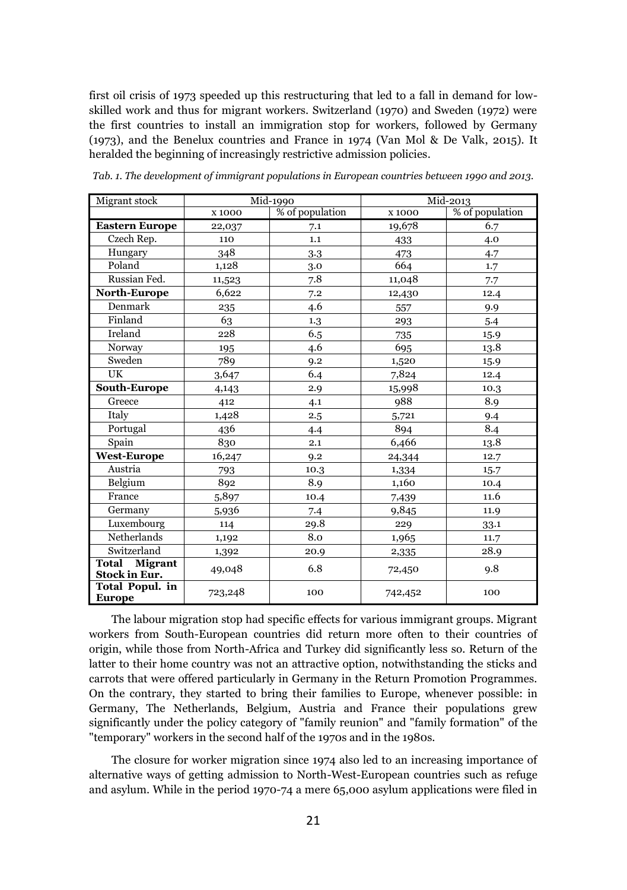first oil crisis of 1973 speeded up this restructuring that led to a fall in demand for lowskilled work and thus for migrant workers. Switzerland (1970) and Sweden (1972) were the first countries to install an immigration stop for workers, followed by Germany (1973), and the Benelux countries and France in 1974 (Van Mol & De Valk, 2015). It heralded the beginning of increasingly restrictive admission policies.

| Migrant stock                         | Mid-1990 |                 | Mid-2013 |                 |
|---------------------------------------|----------|-----------------|----------|-----------------|
|                                       | X 1000   | % of population | x 1000   | % of population |
| <b>Eastern Europe</b>                 | 22,037   | 7.1             | 19,678   | 6.7             |
| Czech Rep.                            | 110      | 1.1             | 433      | 4.0             |
| Hungary                               | 348      | 3.3             | 473      | 4.7             |
| Poland                                | 1,128    | 3.0             | 664      | 1.7             |
| Russian Fed.                          | 11,523   | 7.8             | 11,048   | 7.7             |
| <b>North-Europe</b>                   | 6,622    | 7.2             | 12,430   | 12.4            |
| Denmark                               | 235      | 4.6             | 557      | 9.9             |
| Finland                               | 63       | 1.3             | 293      | 5.4             |
| Ireland                               | 228      | 6.5             | 735      | 15.9            |
| Norway                                | 195      | 4.6             | 695      | 13.8            |
| Sweden                                | 789      | 9.2             | 1,520    | 15.9            |
| UK                                    | 3,647    | 6.4             | 7,824    | 12.4            |
| South-Europe                          | 4,143    | 2.9             | 15,998   | 10.3            |
| Greece                                | 412      | 4.1             | 988      | 8.9             |
| Italy                                 | 1,428    | 2.5             | 5,721    | 9.4             |
| Portugal                              | 436      | 4.4             | 894      | 8.4             |
| Spain                                 | 830      | 2.1             | 6,466    | 13.8            |
| <b>West-Europe</b>                    | 16,247   | 9.2             | 24,344   | 12.7            |
| Austria                               | 793      | 10.3            | 1,334    | 15.7            |
| Belgium                               | 892      | 8.9             | 1,160    | 10.4            |
| France                                | 5,897    | 10.4            | 7,439    | 11.6            |
| Germany                               | 5,936    | 7.4             | 9,845    | 11.9            |
| Luxembourg                            | 114      | 29.8            | 229      | 33.1            |
| Netherlands                           | 1,192    | 8.0             | 1,965    | 11.7            |
| Switzerland                           | 1,392    | 20.9            | 2,335    | 28.9            |
| <b>Total Migrant</b><br>Stock in Eur. | 49,048   | 6.8             | 72,450   | 9.8             |
| Total Popul. in<br><b>Europe</b>      | 723,248  | 100             | 742,452  | 100             |

*Tab. 1. The development of immigrant populations in European countries between 1990 and 2013.*

The labour migration stop had specific effects for various immigrant groups. Migrant workers from South-European countries did return more often to their countries of origin, while those from North-Africa and Turkey did significantly less so. Return of the latter to their home country was not an attractive option, notwithstanding the sticks and carrots that were offered particularly in Germany in the Return Promotion Programmes. On the contrary, they started to bring their families to Europe, whenever possible: in Germany, The Netherlands, Belgium, Austria and France their populations grew significantly under the policy category of "family reunion" and "family formation" of the "temporary" workers in the second half of the 1970s and in the 1980s.

The closure for worker migration since 1974 also led to an increasing importance of alternative ways of getting admission to North-West-European countries such as refuge and asylum. While in the period 1970-74 a mere 65,000 asylum applications were filed in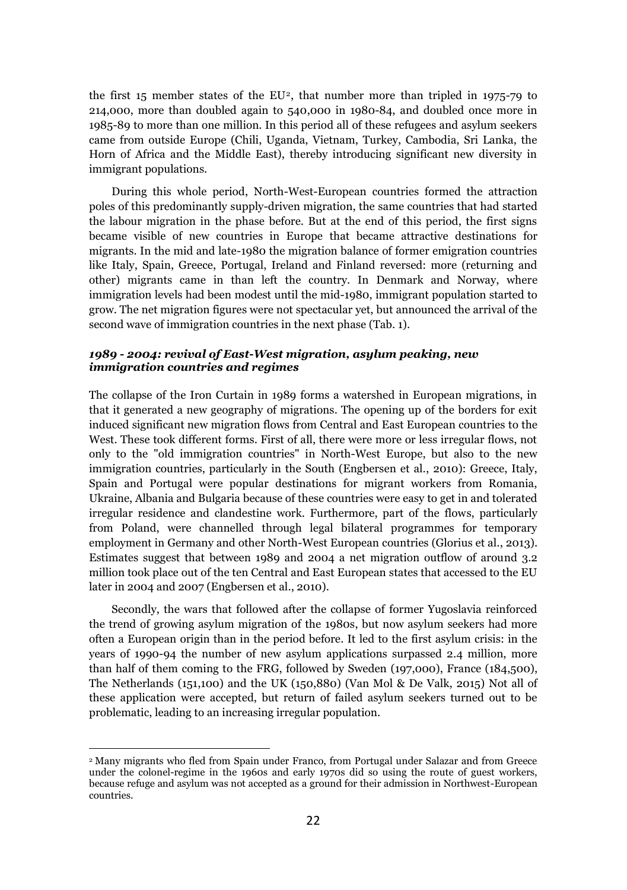the first 15 member states of the  $EU^2$ , that number more than tripled in 1975-79 to 214,000, more than doubled again to 540,000 in 1980-84, and doubled once more in 1985-89 to more than one million. In this period all of these refugees and asylum seekers came from outside Europe (Chili, Uganda, Vietnam, Turkey, Cambodia, Sri Lanka, the Horn of Africa and the Middle East), thereby introducing significant new diversity in immigrant populations.

During this whole period, North-West-European countries formed the attraction poles of this predominantly supply-driven migration, the same countries that had started the labour migration in the phase before. But at the end of this period, the first signs became visible of new countries in Europe that became attractive destinations for migrants. In the mid and late-1980 the migration balance of former emigration countries like Italy, Spain, Greece, Portugal, Ireland and Finland reversed: more (returning and other) migrants came in than left the country. In Denmark and Norway, where immigration levels had been modest until the mid-1980, immigrant population started to grow. The net migration figures were not spectacular yet, but announced the arrival of the second wave of immigration countries in the next phase (Tab. 1).

## *1989 - 2004: revival of East-West migration, asylum peaking, new immigration countries and regimes*

The collapse of the Iron Curtain in 1989 forms a watershed in European migrations, in that it generated a new geography of migrations. The opening up of the borders for exit induced significant new migration flows from Central and East European countries to the West. These took different forms. First of all, there were more or less irregular flows, not only to the "old immigration countries" in North-West Europe, but also to the new immigration countries, particularly in the South (Engbersen et al., 2010): Greece, Italy, Spain and Portugal were popular destinations for migrant workers from Romania, Ukraine, Albania and Bulgaria because of these countries were easy to get in and tolerated irregular residence and clandestine work. Furthermore, part of the flows, particularly from Poland, were channelled through legal bilateral programmes for temporary employment in Germany and other North-West European countries (Glorius et al., 2013). Estimates suggest that between 1989 and 2004 a net migration outflow of around 3.2 million took place out of the ten Central and East European states that accessed to the EU later in 2004 and 2007 (Engbersen et al., 2010).

Secondly, the wars that followed after the collapse of former Yugoslavia reinforced the trend of growing asylum migration of the 1980s, but now asylum seekers had more often a European origin than in the period before. It led to the first asylum crisis: in the years of 1990-94 the number of new asylum applications surpassed 2.4 million, more than half of them coming to the FRG, followed by Sweden (197,000), France (184,500), The Netherlands (151,100) and the UK (150,880) (Van Mol & De Valk, 2015) Not all of these application were accepted, but return of failed asylum seekers turned out to be problematic, leading to an increasing irregular population.

 $\overline{\phantom{a}}$ 

<sup>2</sup> Many migrants who fled from Spain under Franco, from Portugal under Salazar and from Greece under the colonel-regime in the 1960s and early 1970s did so using the route of guest workers, because refuge and asylum was not accepted as a ground for their admission in Northwest-European countries.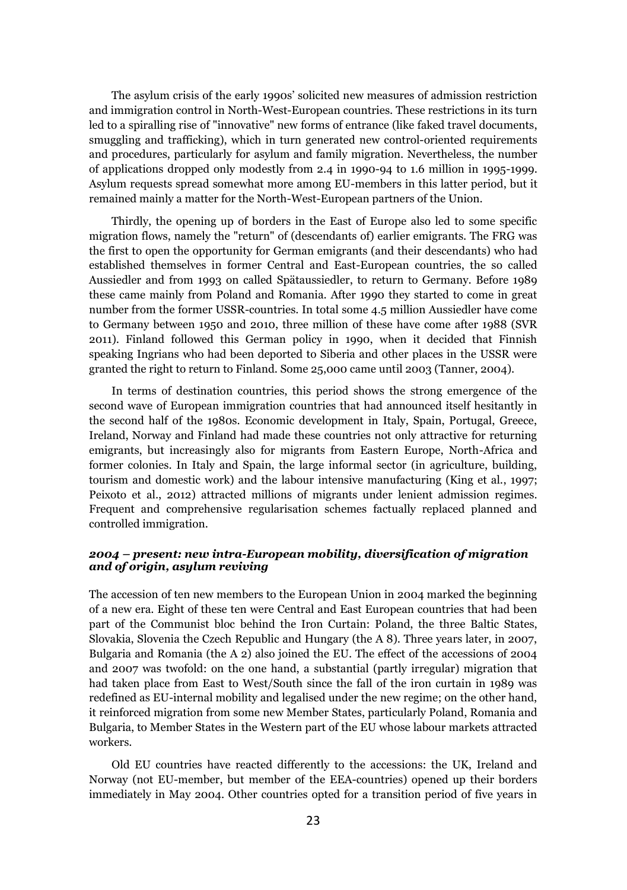The asylum crisis of the early 1990s' solicited new measures of admission restriction and immigration control in North-West-European countries. These restrictions in its turn led to a spiralling rise of "innovative" new forms of entrance (like faked travel documents, smuggling and trafficking), which in turn generated new control-oriented requirements and procedures, particularly for asylum and family migration. Nevertheless, the number of applications dropped only modestly from 2.4 in 1990-94 to 1.6 million in 1995-1999. Asylum requests spread somewhat more among EU-members in this latter period, but it remained mainly a matter for the North-West-European partners of the Union.

Thirdly, the opening up of borders in the East of Europe also led to some specific migration flows, namely the "return" of (descendants of) earlier emigrants. The FRG was the first to open the opportunity for German emigrants (and their descendants) who had established themselves in former Central and East-European countries, the so called Aussiedler and from 1993 on called Spätaussiedler, to return to Germany. Before 1989 these came mainly from Poland and Romania. After 1990 they started to come in great number from the former USSR-countries. In total some 4.5 million Aussiedler have come to Germany between 1950 and 2010, three million of these have come after 1988 (SVR 2011). Finland followed this German policy in 1990, when it decided that Finnish speaking Ingrians who had been deported to Siberia and other places in the USSR were granted the right to return to Finland. Some 25,000 came until 2003 (Tanner, 2004).

In terms of destination countries, this period shows the strong emergence of the second wave of European immigration countries that had announced itself hesitantly in the second half of the 1980s. Economic development in Italy, Spain, Portugal, Greece, Ireland, Norway and Finland had made these countries not only attractive for returning emigrants, but increasingly also for migrants from Eastern Europe, North-Africa and former colonies. In Italy and Spain, the large informal sector (in agriculture, building, tourism and domestic work) and the labour intensive manufacturing (King et al., 1997; Peixoto et al., 2012) attracted millions of migrants under lenient admission regimes. Frequent and comprehensive regularisation schemes factually replaced planned and controlled immigration.

## *2004 – present: new intra-European mobility, diversification of migration and of origin, asylum reviving*

The accession of ten new members to the European Union in 2004 marked the beginning of a new era. Eight of these ten were Central and East European countries that had been part of the Communist bloc behind the Iron Curtain: Poland, the three Baltic States, Slovakia, Slovenia the Czech Republic and Hungary (the A 8). Three years later, in 2007, Bulgaria and Romania (the A 2) also joined the EU. The effect of the accessions of 2004 and 2007 was twofold: on the one hand, a substantial (partly irregular) migration that had taken place from East to West/South since the fall of the iron curtain in 1989 was redefined as EU-internal mobility and legalised under the new regime; on the other hand, it reinforced migration from some new Member States, particularly Poland, Romania and Bulgaria, to Member States in the Western part of the EU whose labour markets attracted workers.

Old EU countries have reacted differently to the accessions: the UK, Ireland and Norway (not EU-member, but member of the EEA-countries) opened up their borders immediately in May 2004. Other countries opted for a transition period of five years in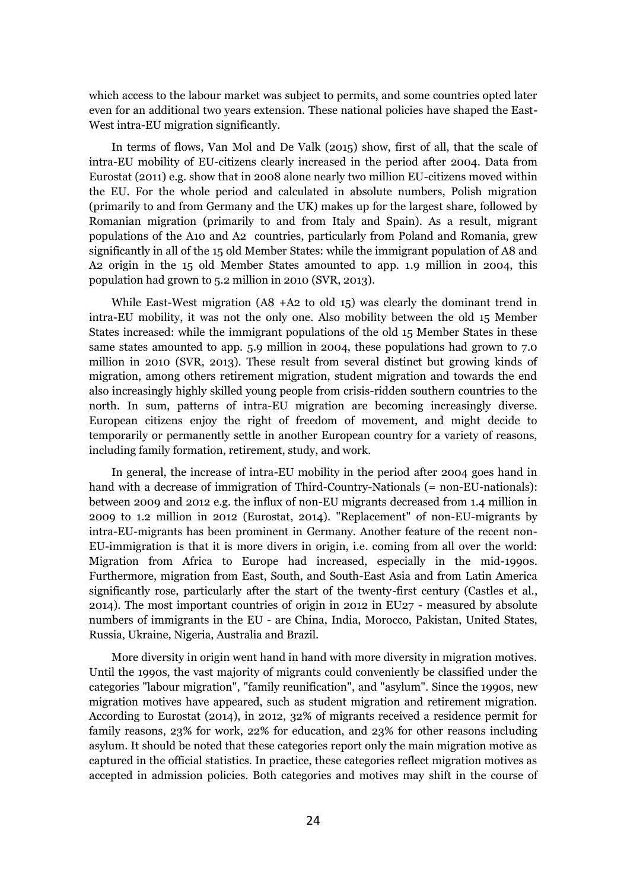which access to the labour market was subject to permits, and some countries opted later even for an additional two years extension. These national policies have shaped the East-West intra-EU migration significantly.

In terms of flows, Van Mol and De Valk (2015) show, first of all, that the scale of intra-EU mobility of EU-citizens clearly increased in the period after 2004. Data from Eurostat (2011) e.g. show that in 2008 alone nearly two million EU-citizens moved within the EU. For the whole period and calculated in absolute numbers, Polish migration (primarily to and from Germany and the UK) makes up for the largest share, followed by Romanian migration (primarily to and from Italy and Spain). As a result, migrant populations of the A10 and A2 countries, particularly from Poland and Romania, grew significantly in all of the 15 old Member States: while the immigrant population of A8 and A2 origin in the 15 old Member States amounted to app. 1.9 million in 2004, this population had grown to 5.2 million in 2010 (SVR, 2013).

While East-West migration (A8 +A2 to old 15) was clearly the dominant trend in intra-EU mobility, it was not the only one. Also mobility between the old 15 Member States increased: while the immigrant populations of the old 15 Member States in these same states amounted to app. 5.9 million in 2004, these populations had grown to 7.0 million in 2010 (SVR, 2013). These result from several distinct but growing kinds of migration, among others retirement migration, student migration and towards the end also increasingly highly skilled young people from crisis-ridden southern countries to the north. In sum, patterns of intra-EU migration are becoming increasingly diverse. European citizens enjoy the right of freedom of movement, and might decide to temporarily or permanently settle in another European country for a variety of reasons, including family formation, retirement, study, and work.

In general, the increase of intra-EU mobility in the period after 2004 goes hand in hand with a decrease of immigration of Third-Country-Nationals (= non-EU-nationals): between 2009 and 2012 e.g. the influx of non-EU migrants decreased from 1.4 million in 2009 to 1.2 million in 2012 (Eurostat, 2014). "Replacement" of non-EU-migrants by intra-EU-migrants has been prominent in Germany. Another feature of the recent non-EU-immigration is that it is more divers in origin, i.e. coming from all over the world: Migration from Africa to Europe had increased, especially in the mid-1990s. Furthermore, migration from East, South, and South-East Asia and from Latin America significantly rose, particularly after the start of the twenty-first century (Castles et al., 2014). The most important countries of origin in 2012 in EU27 - measured by absolute numbers of immigrants in the EU - are China, India, Morocco, Pakistan, United States, Russia, Ukraine, Nigeria, Australia and Brazil.

More diversity in origin went hand in hand with more diversity in migration motives. Until the 1990s, the vast majority of migrants could conveniently be classified under the categories "labour migration", "family reunification", and "asylum". Since the 1990s, new migration motives have appeared, such as student migration and retirement migration. According to Eurostat (2014), in 2012, 32% of migrants received a residence permit for family reasons, 23% for work, 22% for education, and 23% for other reasons including asylum. It should be noted that these categories report only the main migration motive as captured in the official statistics. In practice, these categories reflect migration motives as accepted in admission policies. Both categories and motives may shift in the course of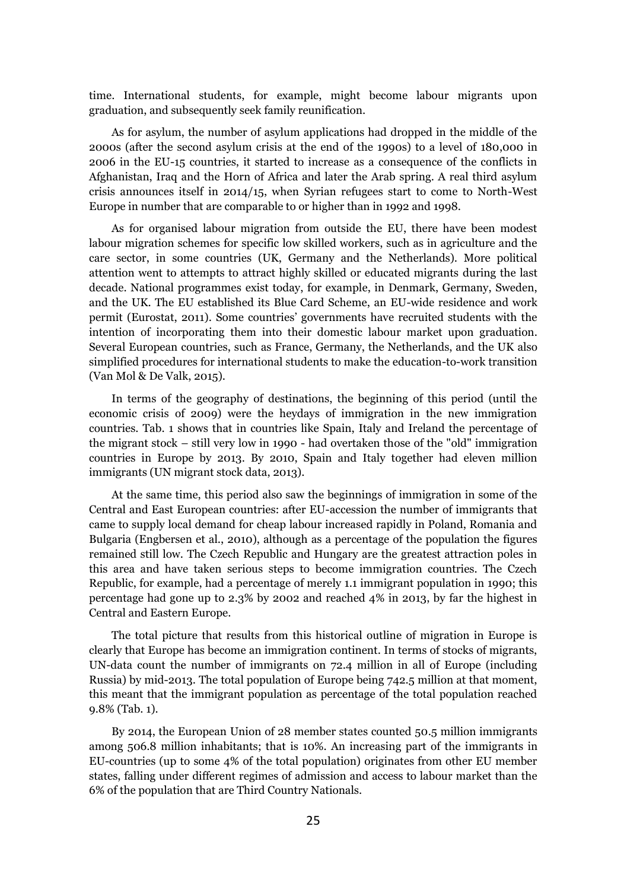time. International students, for example, might become labour migrants upon graduation, and subsequently seek family reunification.

As for asylum, the number of asylum applications had dropped in the middle of the 2000s (after the second asylum crisis at the end of the 1990s) to a level of 180,000 in 2006 in the EU-15 countries, it started to increase as a consequence of the conflicts in Afghanistan, Iraq and the Horn of Africa and later the Arab spring. A real third asylum crisis announces itself in 2014/15, when Syrian refugees start to come to North-West Europe in number that are comparable to or higher than in 1992 and 1998.

As for organised labour migration from outside the EU, there have been modest labour migration schemes for specific low skilled workers, such as in agriculture and the care sector, in some countries (UK, Germany and the Netherlands). More political attention went to attempts to attract highly skilled or educated migrants during the last decade. National programmes exist today, for example, in Denmark, Germany, Sweden, and the UK. The EU established its Blue Card Scheme, an EU-wide residence and work permit (Eurostat, 2011). Some countries' governments have recruited students with the intention of incorporating them into their domestic labour market upon graduation. Several European countries, such as France, Germany, the Netherlands, and the UK also simplified procedures for international students to make the education-to-work transition (Van Mol & De Valk, 2015).

In terms of the geography of destinations, the beginning of this period (until the economic crisis of 2009) were the heydays of immigration in the new immigration countries. Tab. 1 shows that in countries like Spain, Italy and Ireland the percentage of the migrant stock – still very low in 1990 - had overtaken those of the "old" immigration countries in Europe by 2013. By 2010, Spain and Italy together had eleven million immigrants (UN migrant stock data, 2013).

At the same time, this period also saw the beginnings of immigration in some of the Central and East European countries: after EU-accession the number of immigrants that came to supply local demand for cheap labour increased rapidly in Poland, Romania and Bulgaria (Engbersen et al., 2010), although as a percentage of the population the figures remained still low. The Czech Republic and Hungary are the greatest attraction poles in this area and have taken serious steps to become immigration countries. The Czech Republic, for example, had a percentage of merely 1.1 immigrant population in 1990; this percentage had gone up to 2.3% by 2002 and reached 4% in 2013, by far the highest in Central and Eastern Europe.

The total picture that results from this historical outline of migration in Europe is clearly that Europe has become an immigration continent. In terms of stocks of migrants, UN-data count the number of immigrants on 72.4 million in all of Europe (including Russia) by mid-2013. The total population of Europe being 742.5 million at that moment, this meant that the immigrant population as percentage of the total population reached 9.8% (Tab. 1).

By 2014, the European Union of 28 member states counted 50.5 million immigrants among 506.8 million inhabitants; that is 10%. An increasing part of the immigrants in EU-countries (up to some 4% of the total population) originates from other EU member states, falling under different regimes of admission and access to labour market than the 6% of the population that are Third Country Nationals.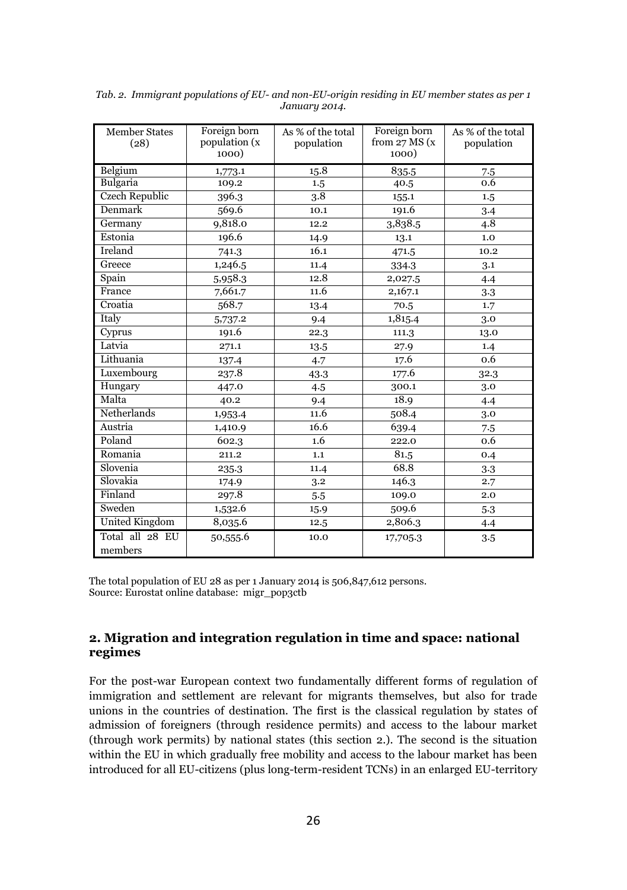| <b>Member States</b><br>(28) | Foreign born<br>population (x<br>1000) | As % of the total<br>population | Foreign born<br>from $27$ MS $(x)$<br>1000) | As % of the total<br>population |
|------------------------------|----------------------------------------|---------------------------------|---------------------------------------------|---------------------------------|
| Belgium                      | 1,773.1                                | 15.8                            | 835.5                                       | 7.5                             |
| Bulgaria                     | 109.2                                  | 1.5                             | 40.5                                        | 0.6                             |
| Czech Republic               | 396.3                                  | 3.8                             | 155.1                                       | 1.5                             |
| Denmark                      | 569.6                                  | 10.1                            | 191.6                                       | 3.4                             |
| Germany                      | 9,818.0                                | 12.2                            | 3,838.5                                     | 4.8                             |
| Estonia                      | 196.6                                  | 14.9                            | 13.1                                        | 1.0                             |
| Ireland                      | 741.3                                  | 16.1                            | 471.5                                       | 10.2                            |
| Greece                       | 1,246.5                                | 11.4                            | 334.3                                       | 3.1                             |
| Spain                        | 5,958.3                                | 12.8                            | 2,027.5                                     | 4.4                             |
| France                       | 7,661.7                                | 11.6                            | 2,167.1                                     | 3.3                             |
| Croatia                      | 568.7                                  | 13.4                            | 70.5                                        | 1.7                             |
| Italy                        | 5,737.2                                | 9.4                             | 1,815.4                                     | 3.0                             |
| Cyprus                       | 191.6                                  | 22.3                            | 111.3                                       | 13.0                            |
| Latvia                       | 271.1                                  | 13.5                            | 27.9                                        | 1.4                             |
| Lithuania                    | 137.4                                  | 4.7                             | 17.6                                        | 0.6                             |
| Luxembourg                   | 237.8                                  | 43.3                            | 177.6                                       | 32.3                            |
| Hungary                      | 447.0                                  | 4.5                             | 300.1                                       | 3.0                             |
| Malta                        | 40.2                                   | 9.4                             | 18.9                                        | 4.4                             |
| Netherlands                  | 1,953.4                                | 11.6                            | 508.4                                       | 3.0                             |
| Austria                      | 1,410.9                                | 16.6                            | 639.4                                       | 7.5                             |
| Poland                       | 602.3                                  | 1.6                             | 222.0                                       | 0.6                             |
| Romania                      | 211.2                                  | 1.1                             | 81.5                                        | 0.4                             |
| Slovenia                     | 235.3                                  | 11.4                            | 68.8                                        | 3.3                             |
| Slovakia                     | 174.9                                  | 3.2                             | 146.3                                       | 2.7                             |
| Finland                      | 297.8                                  | 5.5                             | 109.0                                       | 2.0                             |
| Sweden                       | 1,532.6                                | 15.9                            | 509.6                                       | 5.3                             |
| United Kingdom               | 8,035.6                                | 12.5                            | 2,806.3                                     | 4.4                             |
| Total all 28 EU<br>members   | 50,555.6                               | 10.0                            | 17,705.3                                    | 3.5                             |

*Tab. 2. Immigrant populations of EU- and non-EU-origin residing in EU member states as per 1 January 2014.* 

The total population of EU 28 as per 1 January 2014 is 506,847,612 persons. Source: Eurostat online database: migr\_pop3ctb

## **2. Migration and integration regulation in time and space: national regimes**

For the post-war European context two fundamentally different forms of regulation of immigration and settlement are relevant for migrants themselves, but also for trade unions in the countries of destination. The first is the classical regulation by states of admission of foreigners (through residence permits) and access to the labour market (through work permits) by national states (this section 2.). The second is the situation within the EU in which gradually free mobility and access to the labour market has been introduced for all EU-citizens (plus long-term-resident TCNs) in an enlarged EU-territory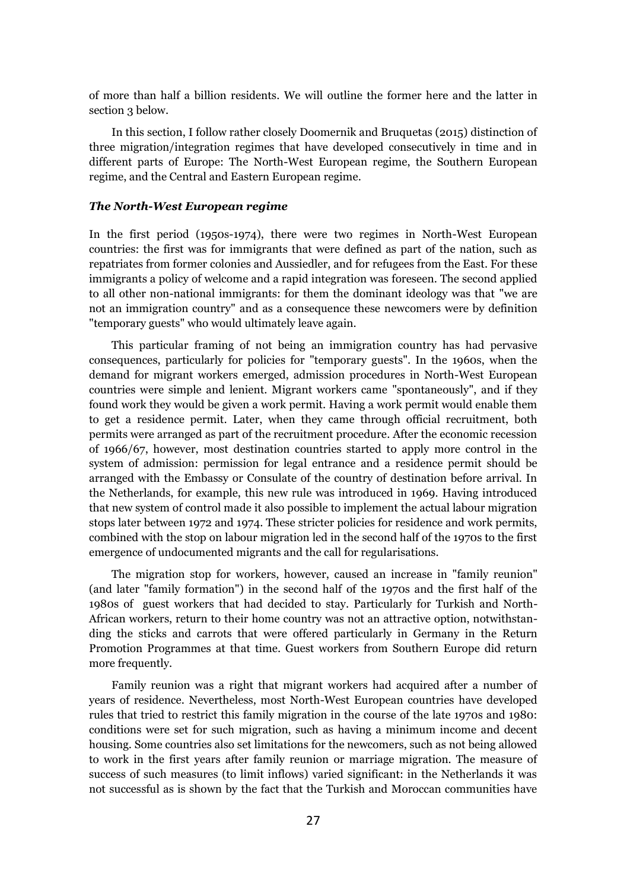of more than half a billion residents. We will outline the former here and the latter in section 3 below.

In this section, I follow rather closely Doomernik and Bruquetas (2015) distinction of three migration/integration regimes that have developed consecutively in time and in different parts of Europe: The North-West European regime, the Southern European regime, and the Central and Eastern European regime.

#### *The North-West European regime*

In the first period (1950s-1974), there were two regimes in North-West European countries: the first was for immigrants that were defined as part of the nation, such as repatriates from former colonies and Aussiedler, and for refugees from the East. For these immigrants a policy of welcome and a rapid integration was foreseen. The second applied to all other non-national immigrants: for them the dominant ideology was that "we are not an immigration country" and as a consequence these newcomers were by definition "temporary guests" who would ultimately leave again.

This particular framing of not being an immigration country has had pervasive consequences, particularly for policies for "temporary guests". In the 1960s, when the demand for migrant workers emerged, admission procedures in North-West European countries were simple and lenient. Migrant workers came "spontaneously", and if they found work they would be given a work permit. Having a work permit would enable them to get a residence permit. Later, when they came through official recruitment, both permits were arranged as part of the recruitment procedure. After the economic recession of 1966/67, however, most destination countries started to apply more control in the system of admission: permission for legal entrance and a residence permit should be arranged with the Embassy or Consulate of the country of destination before arrival. In the Netherlands, for example, this new rule was introduced in 1969. Having introduced that new system of control made it also possible to implement the actual labour migration stops later between 1972 and 1974. These stricter policies for residence and work permits, combined with the stop on labour migration led in the second half of the 1970s to the first emergence of undocumented migrants and the call for regularisations.

The migration stop for workers, however, caused an increase in "family reunion" (and later "family formation") in the second half of the 1970s and the first half of the 1980s of guest workers that had decided to stay. Particularly for Turkish and North-African workers, return to their home country was not an attractive option, notwithstanding the sticks and carrots that were offered particularly in Germany in the Return Promotion Programmes at that time. Guest workers from Southern Europe did return more frequently.

Family reunion was a right that migrant workers had acquired after a number of years of residence. Nevertheless, most North-West European countries have developed rules that tried to restrict this family migration in the course of the late 1970s and 1980: conditions were set for such migration, such as having a minimum income and decent housing. Some countries also set limitations for the newcomers, such as not being allowed to work in the first years after family reunion or marriage migration. The measure of success of such measures (to limit inflows) varied significant: in the Netherlands it was not successful as is shown by the fact that the Turkish and Moroccan communities have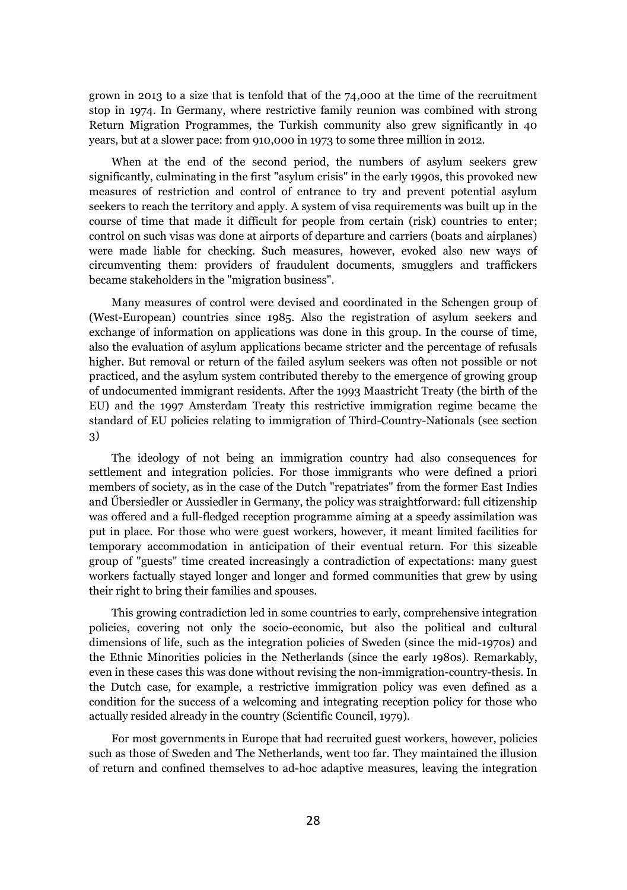grown in 2013 to a size that is tenfold that of the 74,000 at the time of the recruitment stop in 1974. In Germany, where restrictive family reunion was combined with strong Return Migration Programmes, the Turkish community also grew significantly in 40 years, but at a slower pace: from 910,000 in 1973 to some three million in 2012.

When at the end of the second period, the numbers of asylum seekers grew significantly, culminating in the first "asylum crisis" in the early 1990s, this provoked new measures of restriction and control of entrance to try and prevent potential asylum seekers to reach the territory and apply. A system of visa requirements was built up in the course of time that made it difficult for people from certain (risk) countries to enter; control on such visas was done at airports of departure and carriers (boats and airplanes) were made liable for checking. Such measures, however, evoked also new ways of circumventing them: providers of fraudulent documents, smugglers and traffickers became stakeholders in the "migration business".

Many measures of control were devised and coordinated in the Schengen group of (West-European) countries since 1985. Also the registration of asylum seekers and exchange of information on applications was done in this group. In the course of time, also the evaluation of asylum applications became stricter and the percentage of refusals higher. But removal or return of the failed asylum seekers was often not possible or not practiced, and the asylum system contributed thereby to the emergence of growing group of undocumented immigrant residents. After the 1993 Maastricht Treaty (the birth of the EU) and the 1997 Amsterdam Treaty this restrictive immigration regime became the standard of EU policies relating to immigration of Third-Country-Nationals (see section 3)

The ideology of not being an immigration country had also consequences for settlement and integration policies. For those immigrants who were defined a priori members of society, as in the case of the Dutch "repatriates" from the former East Indies and Űbersiedler or Aussiedler in Germany, the policy was straightforward: full citizenship was offered and a full-fledged reception programme aiming at a speedy assimilation was put in place. For those who were guest workers, however, it meant limited facilities for temporary accommodation in anticipation of their eventual return. For this sizeable group of "guests" time created increasingly a contradiction of expectations: many guest workers factually stayed longer and longer and formed communities that grew by using their right to bring their families and spouses.

This growing contradiction led in some countries to early, comprehensive integration policies, covering not only the socio-economic, but also the political and cultural dimensions of life, such as the integration policies of Sweden (since the mid-1970s) and the Ethnic Minorities policies in the Netherlands (since the early 1980s). Remarkably, even in these cases this was done without revising the non-immigration-country-thesis. In the Dutch case, for example, a restrictive immigration policy was even defined as a condition for the success of a welcoming and integrating reception policy for those who actually resided already in the country (Scientific Council, 1979).

For most governments in Europe that had recruited guest workers, however, policies such as those of Sweden and The Netherlands, went too far. They maintained the illusion of return and confined themselves to ad-hoc adaptive measures, leaving the integration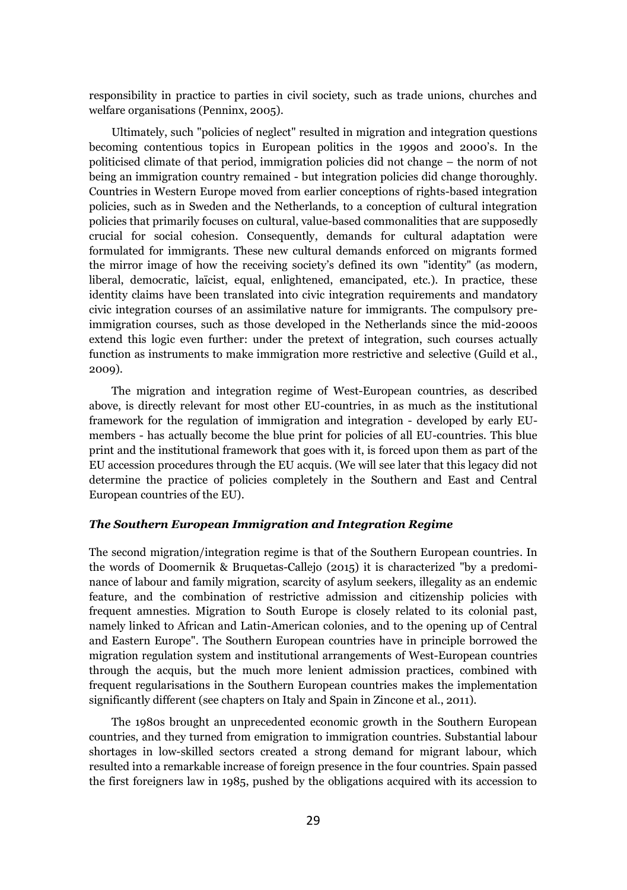responsibility in practice to parties in civil society, such as trade unions, churches and welfare organisations (Penninx, 2005).

Ultimately, such "policies of neglect" resulted in migration and integration questions becoming contentious topics in European politics in the 1990s and 2000's. In the politicised climate of that period, immigration policies did not change – the norm of not being an immigration country remained - but integration policies did change thoroughly. Countries in Western Europe moved from earlier conceptions of rights-based integration policies, such as in Sweden and the Netherlands, to a conception of cultural integration policies that primarily focuses on cultural, value-based commonalities that are supposedly crucial for social cohesion. Consequently, demands for cultural adaptation were formulated for immigrants. These new cultural demands enforced on migrants formed the mirror image of how the receiving society's defined its own "identity" (as modern, liberal, democratic, laïcist, equal, enlightened, emancipated, etc.). In practice, these identity claims have been translated into civic integration requirements and mandatory civic integration courses of an assimilative nature for immigrants. The compulsory preimmigration courses, such as those developed in the Netherlands since the mid-2000s extend this logic even further: under the pretext of integration, such courses actually function as instruments to make immigration more restrictive and selective (Guild et al., 2009).

The migration and integration regime of West-European countries, as described above, is directly relevant for most other EU-countries, in as much as the institutional framework for the regulation of immigration and integration - developed by early EUmembers - has actually become the blue print for policies of all EU-countries. This blue print and the institutional framework that goes with it, is forced upon them as part of the EU accession procedures through the EU acquis. (We will see later that this legacy did not determine the practice of policies completely in the Southern and East and Central European countries of the EU).

#### *The Southern European Immigration and Integration Regime*

The second migration/integration regime is that of the Southern European countries. In the words of Doomernik & Bruquetas-Callejo (2015) it is characterized "by a predominance of labour and family migration, scarcity of asylum seekers, illegality as an endemic feature, and the combination of restrictive admission and citizenship policies with frequent amnesties. Migration to South Europe is closely related to its colonial past, namely linked to African and Latin-American colonies, and to the opening up of Central and Eastern Europe". The Southern European countries have in principle borrowed the migration regulation system and institutional arrangements of West-European countries through the acquis, but the much more lenient admission practices, combined with frequent regularisations in the Southern European countries makes the implementation significantly different (see chapters on Italy and Spain in Zincone et al., 2011).

The 1980s brought an unprecedented economic growth in the Southern European countries, and they turned from emigration to immigration countries. Substantial labour shortages in low-skilled sectors created a strong demand for migrant labour, which resulted into a remarkable increase of foreign presence in the four countries. Spain passed the first foreigners law in 1985, pushed by the obligations acquired with its accession to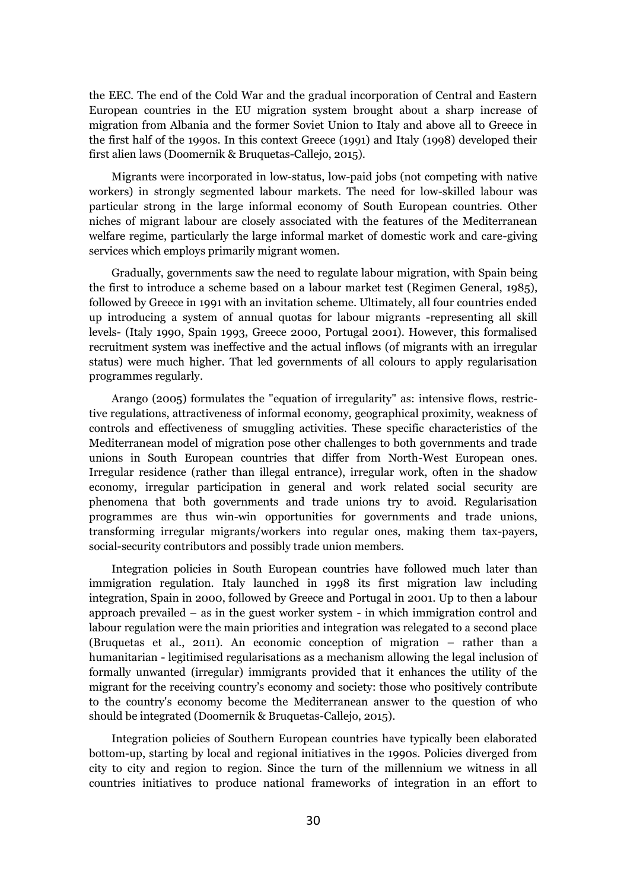the EEC. The end of the Cold War and the gradual incorporation of Central and Eastern European countries in the EU migration system brought about a sharp increase of migration from Albania and the former Soviet Union to Italy and above all to Greece in the first half of the 1990s. In this context Greece (1991) and Italy (1998) developed their first alien laws (Doomernik & Bruquetas-Callejo, 2015).

Migrants were incorporated in low-status, low-paid jobs (not competing with native workers) in strongly segmented labour markets. The need for low-skilled labour was particular strong in the large informal economy of South European countries. Other niches of migrant labour are closely associated with the features of the Mediterranean welfare regime, particularly the large informal market of domestic work and care-giving services which employs primarily migrant women.

Gradually, governments saw the need to regulate labour migration, with Spain being the first to introduce a scheme based on a labour market test (Regimen General, 1985), followed by Greece in 1991 with an invitation scheme. Ultimately, all four countries ended up introducing a system of annual quotas for labour migrants -representing all skill levels- (Italy 1990, Spain 1993, Greece 2000, Portugal 2001). However, this formalised recruitment system was ineffective and the actual inflows (of migrants with an irregular status) were much higher. That led governments of all colours to apply regularisation programmes regularly.

Arango (2005) formulates the "equation of irregularity" as: intensive flows, restrictive regulations, attractiveness of informal economy, geographical proximity, weakness of controls and effectiveness of smuggling activities. These specific characteristics of the Mediterranean model of migration pose other challenges to both governments and trade unions in South European countries that differ from North-West European ones. Irregular residence (rather than illegal entrance), irregular work, often in the shadow economy, irregular participation in general and work related social security are phenomena that both governments and trade unions try to avoid. Regularisation programmes are thus win-win opportunities for governments and trade unions, transforming irregular migrants/workers into regular ones, making them tax-payers, social-security contributors and possibly trade union members.

Integration policies in South European countries have followed much later than immigration regulation. Italy launched in 1998 its first migration law including integration, Spain in 2000, followed by Greece and Portugal in 2001. Up to then a labour approach prevailed – as in the guest worker system - in which immigration control and labour regulation were the main priorities and integration was relegated to a second place (Bruquetas et al., 2011). An economic conception of migration – rather than a humanitarian - legitimised regularisations as a mechanism allowing the legal inclusion of formally unwanted (irregular) immigrants provided that it enhances the utility of the migrant for the receiving country's economy and society: those who positively contribute to the country's economy become the Mediterranean answer to the question of who should be integrated (Doomernik & Bruquetas-Callejo, 2015).

Integration policies of Southern European countries have typically been elaborated bottom-up, starting by local and regional initiatives in the 1990s. Policies diverged from city to city and region to region. Since the turn of the millennium we witness in all countries initiatives to produce national frameworks of integration in an effort to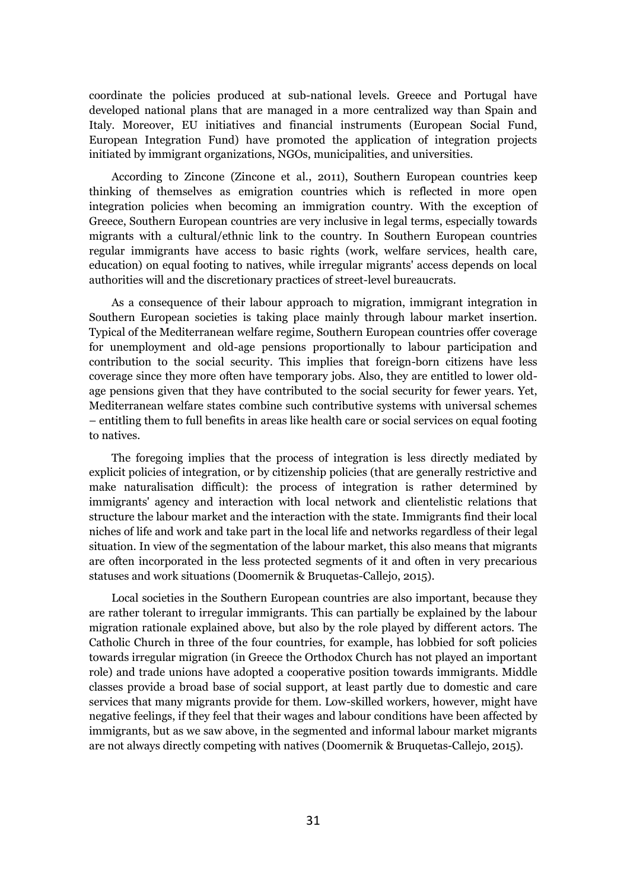coordinate the policies produced at sub-national levels. Greece and Portugal have developed national plans that are managed in a more centralized way than Spain and Italy. Moreover, EU initiatives and financial instruments (European Social Fund, European Integration Fund) have promoted the application of integration projects initiated by immigrant organizations, NGOs, municipalities, and universities.

According to Zincone (Zincone et al., 2011), Southern European countries keep thinking of themselves as emigration countries which is reflected in more open integration policies when becoming an immigration country. With the exception of Greece, Southern European countries are very inclusive in legal terms, especially towards migrants with a cultural/ethnic link to the country. In Southern European countries regular immigrants have access to basic rights (work, welfare services, health care, education) on equal footing to natives, while irregular migrants' access depends on local authorities will and the discretionary practices of street-level bureaucrats.

As a consequence of their labour approach to migration, immigrant integration in Southern European societies is taking place mainly through labour market insertion. Typical of the Mediterranean welfare regime, Southern European countries offer coverage for unemployment and old-age pensions proportionally to labour participation and contribution to the social security. This implies that foreign-born citizens have less coverage since they more often have temporary jobs. Also, they are entitled to lower oldage pensions given that they have contributed to the social security for fewer years. Yet, Mediterranean welfare states combine such contributive systems with universal schemes – entitling them to full benefits in areas like health care or social services on equal footing to natives.

The foregoing implies that the process of integration is less directly mediated by explicit policies of integration, or by citizenship policies (that are generally restrictive and make naturalisation difficult): the process of integration is rather determined by immigrants' agency and interaction with local network and clientelistic relations that structure the labour market and the interaction with the state. Immigrants find their local niches of life and work and take part in the local life and networks regardless of their legal situation. In view of the segmentation of the labour market, this also means that migrants are often incorporated in the less protected segments of it and often in very precarious statuses and work situations (Doomernik & Bruquetas-Callejo, 2015).

Local societies in the Southern European countries are also important, because they are rather tolerant to irregular immigrants. This can partially be explained by the labour migration rationale explained above, but also by the role played by different actors. The Catholic Church in three of the four countries, for example, has lobbied for soft policies towards irregular migration (in Greece the Orthodox Church has not played an important role) and trade unions have adopted a cooperative position towards immigrants. Middle classes provide a broad base of social support, at least partly due to domestic and care services that many migrants provide for them. Low-skilled workers, however, might have negative feelings, if they feel that their wages and labour conditions have been affected by immigrants, but as we saw above, in the segmented and informal labour market migrants are not always directly competing with natives (Doomernik & Bruquetas-Callejo, 2015).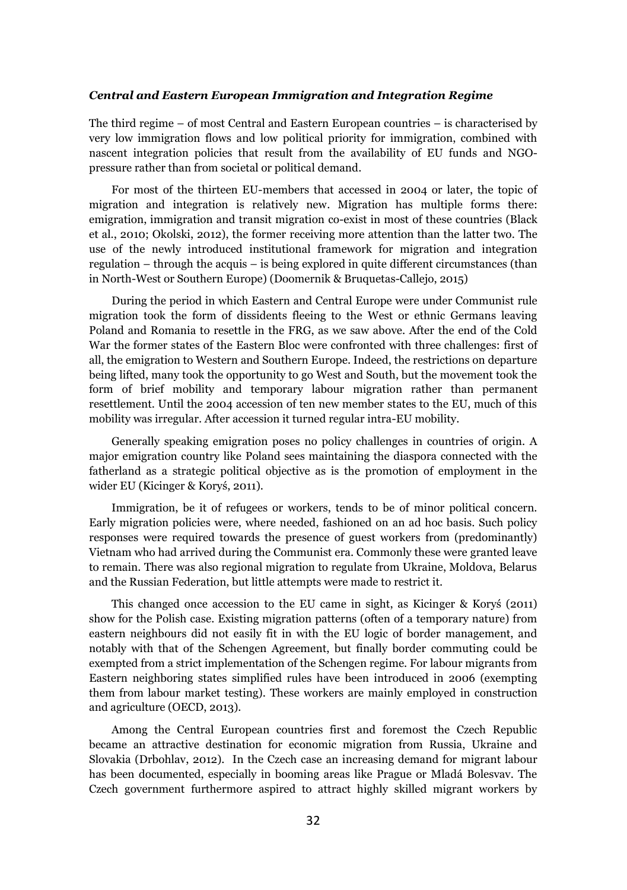#### *Central and Eastern European Immigration and Integration Regime*

The third regime – of most Central and Eastern European countries – is characterised by very low immigration flows and low political priority for immigration, combined with nascent integration policies that result from the availability of EU funds and NGOpressure rather than from societal or political demand.

For most of the thirteen EU-members that accessed in 2004 or later, the topic of migration and integration is relatively new. Migration has multiple forms there: emigration, immigration and transit migration co-exist in most of these countries (Black et al., 2010; Okolski, 2012), the former receiving more attention than the latter two. The use of the newly introduced institutional framework for migration and integration regulation – through the acquis – is being explored in quite different circumstances (than in North-West or Southern Europe) (Doomernik & Bruquetas-Callejo, 2015)

During the period in which Eastern and Central Europe were under Communist rule migration took the form of dissidents fleeing to the West or ethnic Germans leaving Poland and Romania to resettle in the FRG, as we saw above. After the end of the Cold War the former states of the Eastern Bloc were confronted with three challenges: first of all, the emigration to Western and Southern Europe. Indeed, the restrictions on departure being lifted, many took the opportunity to go West and South, but the movement took the form of brief mobility and temporary labour migration rather than permanent resettlement. Until the 2004 accession of ten new member states to the EU, much of this mobility was irregular. After accession it turned regular intra-EU mobility.

Generally speaking emigration poses no policy challenges in countries of origin. A major emigration country like Poland sees maintaining the diaspora connected with the fatherland as a strategic political objective as is the promotion of employment in the wider EU (Kicinger & Koryś, 2011).

Immigration, be it of refugees or workers, tends to be of minor political concern. Early migration policies were, where needed, fashioned on an ad hoc basis. Such policy responses were required towards the presence of guest workers from (predominantly) Vietnam who had arrived during the Communist era. Commonly these were granted leave to remain. There was also regional migration to regulate from Ukraine, Moldova, Belarus and the Russian Federation, but little attempts were made to restrict it.

This changed once accession to the EU came in sight, as Kicinger & Koryś (2011) show for the Polish case. Existing migration patterns (often of a temporary nature) from eastern neighbours did not easily fit in with the EU logic of border management, and notably with that of the Schengen Agreement, but finally border commuting could be exempted from a strict implementation of the Schengen regime. For labour migrants from Eastern neighboring states simplified rules have been introduced in 2006 (exempting them from labour market testing). These workers are mainly employed in construction and agriculture (OECD, 2013).

Among the Central European countries first and foremost the Czech Republic became an attractive destination for economic migration from Russia, Ukraine and Slovakia (Drbohlav, 2012). In the Czech case an increasing demand for migrant labour has been documented, especially in booming areas like Prague or Mladá Bolesvav. The Czech government furthermore aspired to attract highly skilled migrant workers by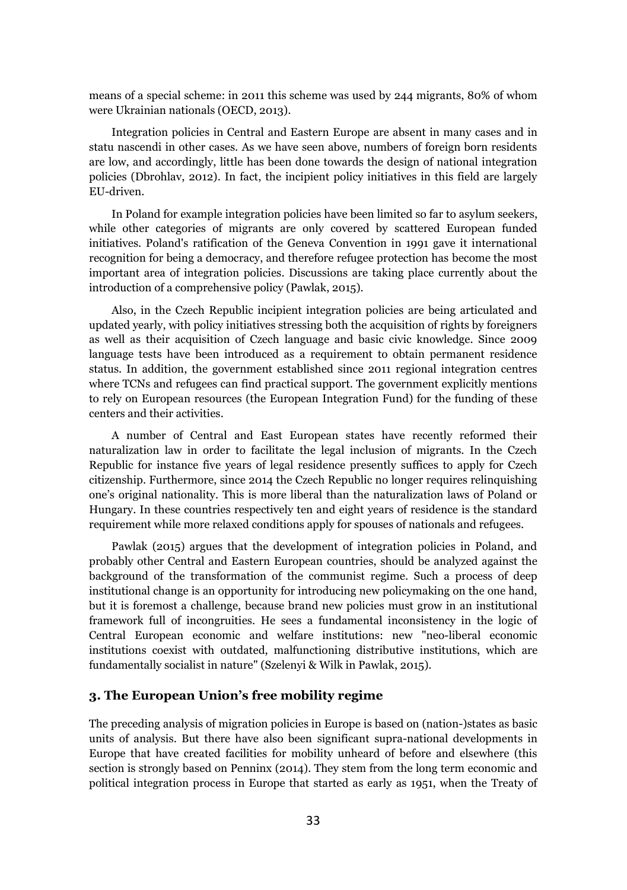means of a special scheme: in 2011 this scheme was used by 244 migrants, 80% of whom were Ukrainian nationals (OECD, 2013).

Integration policies in Central and Eastern Europe are absent in many cases and in statu nascendi in other cases. As we have seen above, numbers of foreign born residents are low, and accordingly, little has been done towards the design of national integration policies (Dbrohlav, 2012). In fact, the incipient policy initiatives in this field are largely EU-driven.

In Poland for example integration policies have been limited so far to asylum seekers, while other categories of migrants are only covered by scattered European funded initiatives. Poland's ratification of the Geneva Convention in 1991 gave it international recognition for being a democracy, and therefore refugee protection has become the most important area of integration policies. Discussions are taking place currently about the introduction of a comprehensive policy (Pawlak, 2015).

Also, in the Czech Republic incipient integration policies are being articulated and updated yearly, with policy initiatives stressing both the acquisition of rights by foreigners as well as their acquisition of Czech language and basic civic knowledge. Since 2009 language tests have been introduced as a requirement to obtain permanent residence status. In addition, the government established since 2011 regional integration centres where TCNs and refugees can find practical support. The government explicitly mentions to rely on European resources (the European Integration Fund) for the funding of these centers and their activities.

A number of Central and East European states have recently reformed their naturalization law in order to facilitate the legal inclusion of migrants. In the Czech Republic for instance five years of legal residence presently suffices to apply for Czech citizenship. Furthermore, since 2014 the Czech Republic no longer requires relinquishing one's original nationality. This is more liberal than the naturalization laws of Poland or Hungary. In these countries respectively ten and eight years of residence is the standard requirement while more relaxed conditions apply for spouses of nationals and refugees.

Pawlak (2015) argues that the development of integration policies in Poland, and probably other Central and Eastern European countries, should be analyzed against the background of the transformation of the communist regime. Such a process of deep institutional change is an opportunity for introducing new policymaking on the one hand, but it is foremost a challenge, because brand new policies must grow in an institutional framework full of incongruities. He sees a fundamental inconsistency in the logic of Central European economic and welfare institutions: new "neo-liberal economic institutions coexist with outdated, malfunctioning distributive institutions, which are fundamentally socialist in nature" (Szelenyi & Wilk in Pawlak, 2015).

## **3. The European Union's free mobility regime**

The preceding analysis of migration policies in Europe is based on (nation-)states as basic units of analysis. But there have also been significant supra-national developments in Europe that have created facilities for mobility unheard of before and elsewhere (this section is strongly based on Penninx (2014). They stem from the long term economic and political integration process in Europe that started as early as 1951, when the Treaty of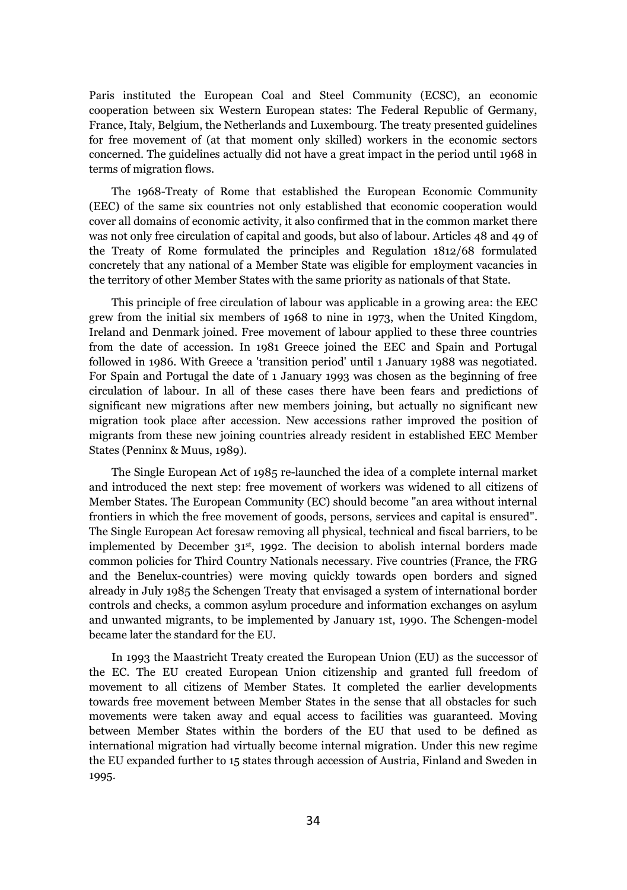Paris instituted the European Coal and Steel Community (ECSC), an economic cooperation between six Western European states: The Federal Republic of Germany, France, Italy, Belgium, the Netherlands and Luxembourg. The treaty presented guidelines for free movement of (at that moment only skilled) workers in the economic sectors concerned. The guidelines actually did not have a great impact in the period until 1968 in terms of migration flows.

The 1968-Treaty of Rome that established the European Economic Community (EEC) of the same six countries not only established that economic cooperation would cover all domains of economic activity, it also confirmed that in the common market there was not only free circulation of capital and goods, but also of labour. Articles 48 and 49 of the Treaty of Rome formulated the principles and Regulation 1812/68 formulated concretely that any national of a Member State was eligible for employment vacancies in the territory of other Member States with the same priority as nationals of that State.

This principle of free circulation of labour was applicable in a growing area: the EEC grew from the initial six members of 1968 to nine in 1973, when the United Kingdom, Ireland and Denmark joined. Free movement of labour applied to these three countries from the date of accession. In 1981 Greece joined the EEC and Spain and Portugal followed in 1986. With Greece a 'transition period' until 1 January 1988 was negotiated. For Spain and Portugal the date of 1 January 1993 was chosen as the beginning of free circulation of labour. In all of these cases there have been fears and predictions of significant new migrations after new members joining, but actually no significant new migration took place after accession. New accessions rather improved the position of migrants from these new joining countries already resident in established EEC Member States (Penninx & Muus, 1989).

The Single European Act of 1985 re-launched the idea of a complete internal market and introduced the next step: free movement of workers was widened to all citizens of Member States. The European Community (EC) should become "an area without internal frontiers in which the free movement of goods, persons, services and capital is ensured". The Single European Act foresaw removing all physical, technical and fiscal barriers, to be implemented by December  $31<sup>st</sup>$ , 1992. The decision to abolish internal borders made common policies for Third Country Nationals necessary. Five countries (France, the FRG and the Benelux-countries) were moving quickly towards open borders and signed already in July 1985 the Schengen Treaty that envisaged a system of international border controls and checks, a common asylum procedure and information exchanges on asylum and unwanted migrants, to be implemented by January 1st, 1990. The Schengen-model became later the standard for the EU.

In 1993 the Maastricht Treaty created the European Union (EU) as the successor of the EC. The EU created European Union citizenship and granted full freedom of movement to all citizens of Member States. It completed the earlier developments towards free movement between Member States in the sense that all obstacles for such movements were taken away and equal access to facilities was guaranteed. Moving between Member States within the borders of the EU that used to be defined as international migration had virtually become internal migration. Under this new regime the EU expanded further to 15 states through accession of Austria, Finland and Sweden in 1995.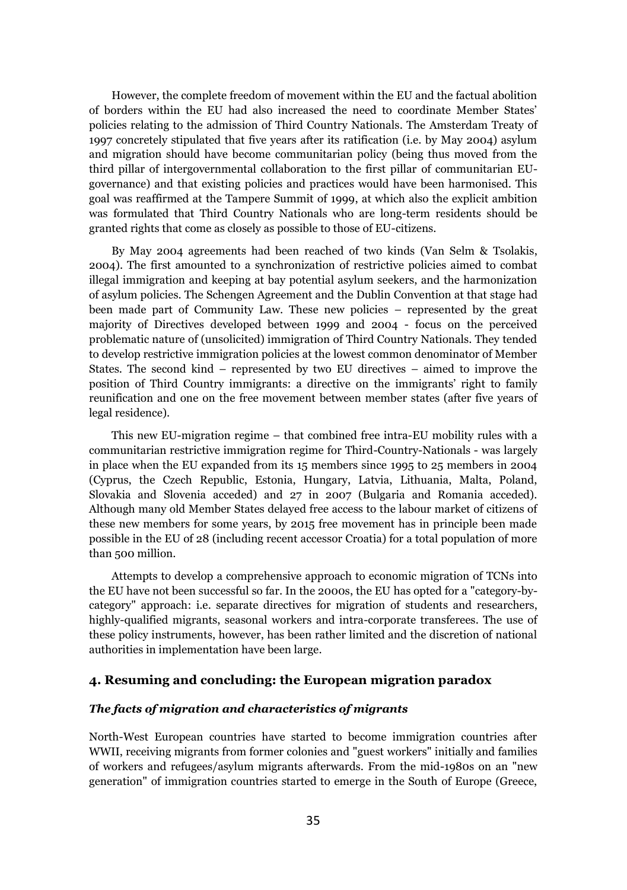However, the complete freedom of movement within the EU and the factual abolition of borders within the EU had also increased the need to coordinate Member States' policies relating to the admission of Third Country Nationals. The Amsterdam Treaty of 1997 concretely stipulated that five years after its ratification (i.e. by May 2004) asylum and migration should have become communitarian policy (being thus moved from the third pillar of intergovernmental collaboration to the first pillar of communitarian EUgovernance) and that existing policies and practices would have been harmonised. This goal was reaffirmed at the Tampere Summit of 1999, at which also the explicit ambition was formulated that Third Country Nationals who are long-term residents should be granted rights that come as closely as possible to those of EU-citizens.

By May 2004 agreements had been reached of two kinds (Van Selm & Tsolakis, 2004). The first amounted to a synchronization of restrictive policies aimed to combat illegal immigration and keeping at bay potential asylum seekers, and the harmonization of asylum policies. The Schengen Agreement and the Dublin Convention at that stage had been made part of Community Law. These new policies – represented by the great majority of Directives developed between 1999 and 2004 - focus on the perceived problematic nature of (unsolicited) immigration of Third Country Nationals. They tended to develop restrictive immigration policies at the lowest common denominator of Member States. The second kind – represented by two EU directives – aimed to improve the position of Third Country immigrants: a directive on the immigrants' right to family reunification and one on the free movement between member states (after five years of legal residence).

This new EU-migration regime – that combined free intra-EU mobility rules with a communitarian restrictive immigration regime for Third-Country-Nationals - was largely in place when the EU expanded from its 15 members since 1995 to 25 members in 2004 (Cyprus, the Czech Republic, Estonia, Hungary, Latvia, Lithuania, Malta, Poland, Slovakia and Slovenia acceded) and 27 in 2007 (Bulgaria and Romania acceded). Although many old Member States delayed free access to the labour market of citizens of these new members for some years, by 2015 free movement has in principle been made possible in the EU of 28 (including recent accessor Croatia) for a total population of more than 500 million.

Attempts to develop a comprehensive approach to economic migration of TCNs into the EU have not been successful so far. In the 2000s, the EU has opted for a "category-bycategory" approach: i.e. separate directives for migration of students and researchers, highly-qualified migrants, seasonal workers and intra-corporate transferees. The use of these policy instruments, however, has been rather limited and the discretion of national authorities in implementation have been large.

## **4. Resuming and concluding: the European migration paradox**

#### *The facts of migration and characteristics of migrants*

North-West European countries have started to become immigration countries after WWII, receiving migrants from former colonies and "guest workers" initially and families of workers and refugees/asylum migrants afterwards. From the mid-1980s on an "new generation" of immigration countries started to emerge in the South of Europe (Greece,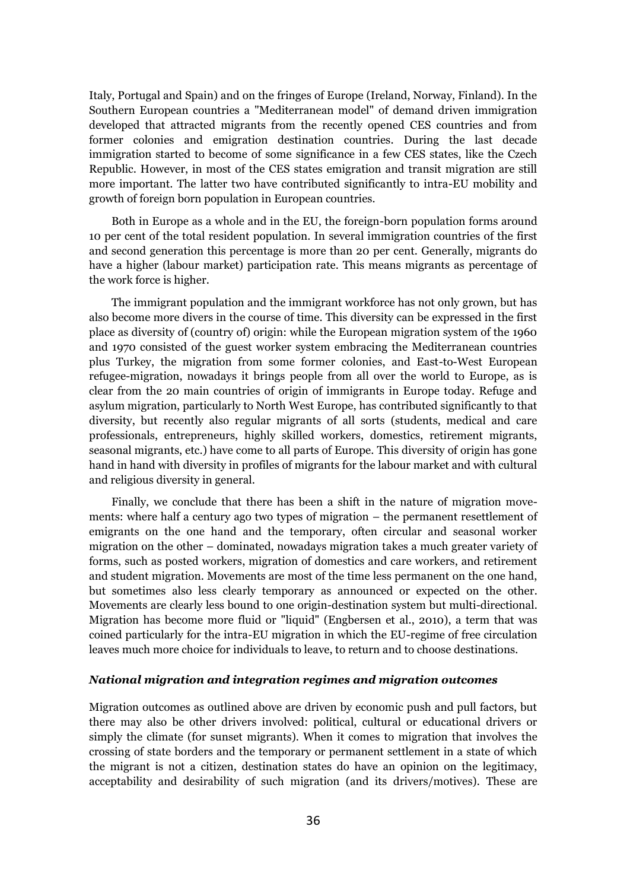Italy, Portugal and Spain) and on the fringes of Europe (Ireland, Norway, Finland). In the Southern European countries a "Mediterranean model" of demand driven immigration developed that attracted migrants from the recently opened CES countries and from former colonies and emigration destination countries. During the last decade immigration started to become of some significance in a few CES states, like the Czech Republic. However, in most of the CES states emigration and transit migration are still more important. The latter two have contributed significantly to intra-EU mobility and growth of foreign born population in European countries.

Both in Europe as a whole and in the EU, the foreign-born population forms around 10 per cent of the total resident population. In several immigration countries of the first and second generation this percentage is more than 20 per cent. Generally, migrants do have a higher (labour market) participation rate. This means migrants as percentage of the work force is higher.

The immigrant population and the immigrant workforce has not only grown, but has also become more divers in the course of time. This diversity can be expressed in the first place as diversity of (country of) origin: while the European migration system of the 1960 and 1970 consisted of the guest worker system embracing the Mediterranean countries plus Turkey, the migration from some former colonies, and East-to-West European refugee-migration, nowadays it brings people from all over the world to Europe, as is clear from the 20 main countries of origin of immigrants in Europe today. Refuge and asylum migration, particularly to North West Europe, has contributed significantly to that diversity, but recently also regular migrants of all sorts (students, medical and care professionals, entrepreneurs, highly skilled workers, domestics, retirement migrants, seasonal migrants, etc.) have come to all parts of Europe. This diversity of origin has gone hand in hand with diversity in profiles of migrants for the labour market and with cultural and religious diversity in general.

Finally, we conclude that there has been a shift in the nature of migration movements: where half a century ago two types of migration – the permanent resettlement of emigrants on the one hand and the temporary, often circular and seasonal worker migration on the other – dominated, nowadays migration takes a much greater variety of forms, such as posted workers, migration of domestics and care workers, and retirement and student migration. Movements are most of the time less permanent on the one hand, but sometimes also less clearly temporary as announced or expected on the other. Movements are clearly less bound to one origin-destination system but multi-directional. Migration has become more fluid or "liquid" (Engbersen et al., 2010), a term that was coined particularly for the intra-EU migration in which the EU-regime of free circulation leaves much more choice for individuals to leave, to return and to choose destinations.

#### *National migration and integration regimes and migration outcomes*

Migration outcomes as outlined above are driven by economic push and pull factors, but there may also be other drivers involved: political, cultural or educational drivers or simply the climate (for sunset migrants). When it comes to migration that involves the crossing of state borders and the temporary or permanent settlement in a state of which the migrant is not a citizen, destination states do have an opinion on the legitimacy, acceptability and desirability of such migration (and its drivers/motives). These are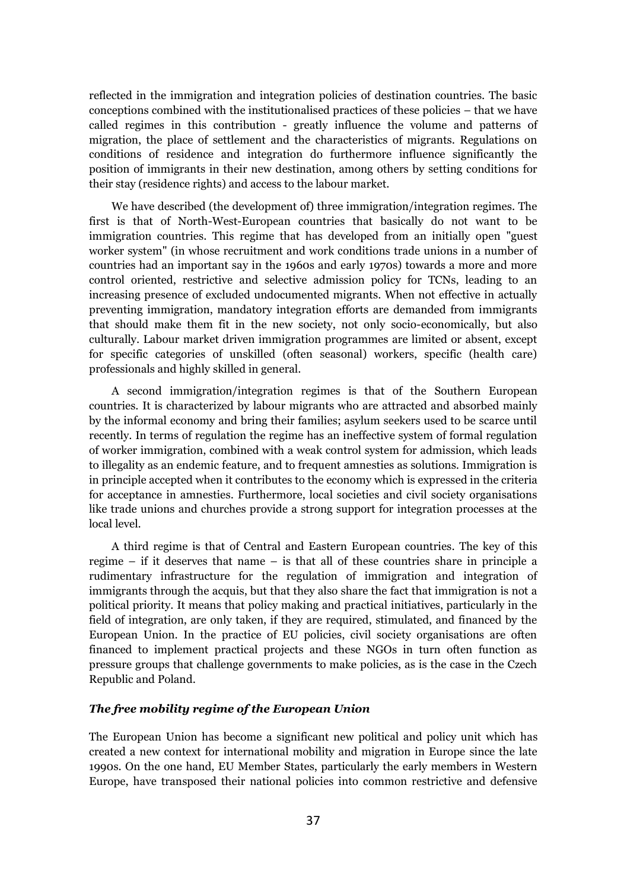reflected in the immigration and integration policies of destination countries. The basic conceptions combined with the institutionalised practices of these policies – that we have called regimes in this contribution - greatly influence the volume and patterns of migration, the place of settlement and the characteristics of migrants. Regulations on conditions of residence and integration do furthermore influence significantly the position of immigrants in their new destination, among others by setting conditions for their stay (residence rights) and access to the labour market.

We have described (the development of) three immigration/integration regimes. The first is that of North-West-European countries that basically do not want to be immigration countries. This regime that has developed from an initially open "guest worker system" (in whose recruitment and work conditions trade unions in a number of countries had an important say in the 1960s and early 1970s) towards a more and more control oriented, restrictive and selective admission policy for TCNs, leading to an increasing presence of excluded undocumented migrants. When not effective in actually preventing immigration, mandatory integration efforts are demanded from immigrants that should make them fit in the new society, not only socio-economically, but also culturally. Labour market driven immigration programmes are limited or absent, except for specific categories of unskilled (often seasonal) workers, specific (health care) professionals and highly skilled in general.

A second immigration/integration regimes is that of the Southern European countries. It is characterized by labour migrants who are attracted and absorbed mainly by the informal economy and bring their families; asylum seekers used to be scarce until recently. In terms of regulation the regime has an ineffective system of formal regulation of worker immigration, combined with a weak control system for admission, which leads to illegality as an endemic feature, and to frequent amnesties as solutions. Immigration is in principle accepted when it contributes to the economy which is expressed in the criteria for acceptance in amnesties. Furthermore, local societies and civil society organisations like trade unions and churches provide a strong support for integration processes at the local level.

A third regime is that of Central and Eastern European countries. The key of this regime – if it deserves that name – is that all of these countries share in principle a rudimentary infrastructure for the regulation of immigration and integration of immigrants through the acquis, but that they also share the fact that immigration is not a political priority. It means that policy making and practical initiatives, particularly in the field of integration, are only taken, if they are required, stimulated, and financed by the European Union. In the practice of EU policies, civil society organisations are often financed to implement practical projects and these NGOs in turn often function as pressure groups that challenge governments to make policies, as is the case in the Czech Republic and Poland.

#### *The free mobility regime of the European Union*

The European Union has become a significant new political and policy unit which has created a new context for international mobility and migration in Europe since the late 1990s. On the one hand, EU Member States, particularly the early members in Western Europe, have transposed their national policies into common restrictive and defensive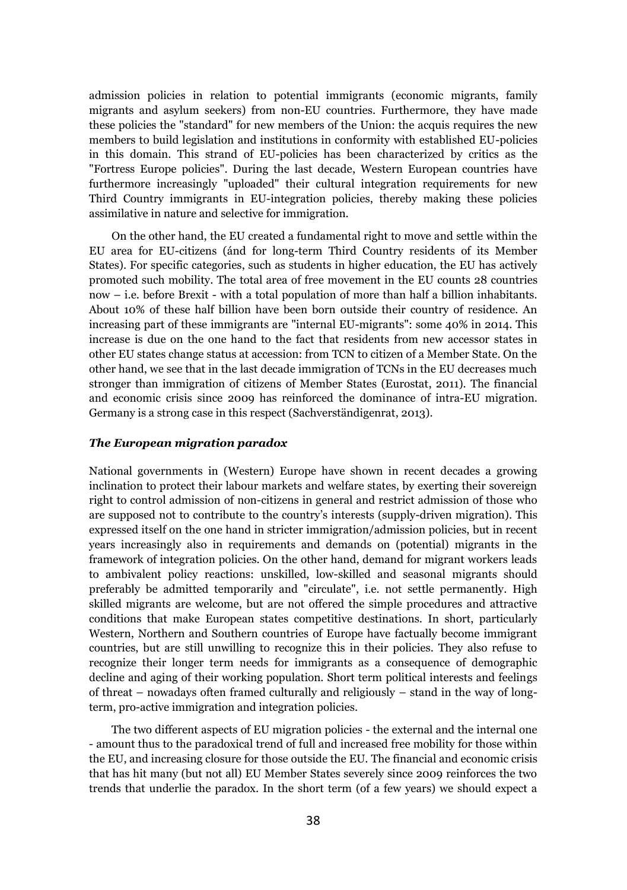admission policies in relation to potential immigrants (economic migrants, family migrants and asylum seekers) from non-EU countries. Furthermore, they have made these policies the "standard" for new members of the Union: the acquis requires the new members to build legislation and institutions in conformity with established EU-policies in this domain. This strand of EU-policies has been characterized by critics as the "Fortress Europe policies". During the last decade, Western European countries have furthermore increasingly "uploaded" their cultural integration requirements for new Third Country immigrants in EU-integration policies, thereby making these policies assimilative in nature and selective for immigration.

On the other hand, the EU created a fundamental right to move and settle within the EU area for EU-citizens (ánd for long-term Third Country residents of its Member States). For specific categories, such as students in higher education, the EU has actively promoted such mobility. The total area of free movement in the EU counts 28 countries now – i.e. before Brexit - with a total population of more than half a billion inhabitants. About 10% of these half billion have been born outside their country of residence. An increasing part of these immigrants are "internal EU-migrants": some 40% in 2014. This increase is due on the one hand to the fact that residents from new accessor states in other EU states change status at accession: from TCN to citizen of a Member State. On the other hand, we see that in the last decade immigration of TCNs in the EU decreases much stronger than immigration of citizens of Member States (Eurostat, 2011). The financial and economic crisis since 2009 has reinforced the dominance of intra-EU migration. Germany is a strong case in this respect (Sachverständigenrat, 2013).

### *The European migration paradox*

National governments in (Western) Europe have shown in recent decades a growing inclination to protect their labour markets and welfare states, by exerting their sovereign right to control admission of non-citizens in general and restrict admission of those who are supposed not to contribute to the country's interests (supply-driven migration). This expressed itself on the one hand in stricter immigration/admission policies, but in recent years increasingly also in requirements and demands on (potential) migrants in the framework of integration policies. On the other hand, demand for migrant workers leads to ambivalent policy reactions: unskilled, low-skilled and seasonal migrants should preferably be admitted temporarily and "circulate", i.e. not settle permanently. High skilled migrants are welcome, but are not offered the simple procedures and attractive conditions that make European states competitive destinations. In short, particularly Western, Northern and Southern countries of Europe have factually become immigrant countries, but are still unwilling to recognize this in their policies. They also refuse to recognize their longer term needs for immigrants as a consequence of demographic decline and aging of their working population. Short term political interests and feelings of threat – nowadays often framed culturally and religiously – stand in the way of longterm, pro-active immigration and integration policies.

The two different aspects of EU migration policies - the external and the internal one - amount thus to the paradoxical trend of full and increased free mobility for those within the EU, and increasing closure for those outside the EU. The financial and economic crisis that has hit many (but not all) EU Member States severely since 2009 reinforces the two trends that underlie the paradox. In the short term (of a few years) we should expect a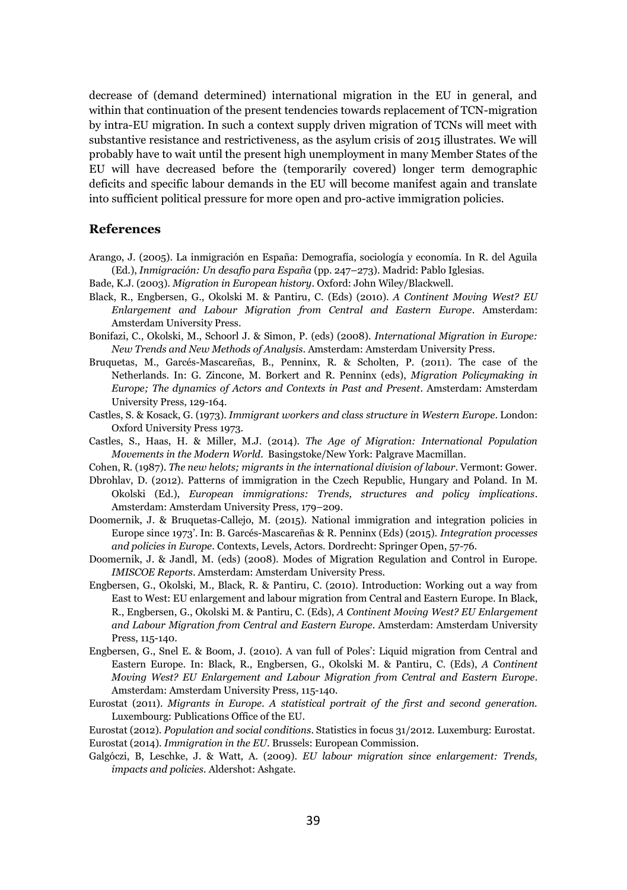decrease of (demand determined) international migration in the EU in general, and within that continuation of the present tendencies towards replacement of TCN-migration by intra-EU migration. In such a context supply driven migration of TCNs will meet with substantive resistance and restrictiveness, as the asylum crisis of 2015 illustrates. We will probably have to wait until the present high unemployment in many Member States of the EU will have decreased before the (temporarily covered) longer term demographic deficits and specific labour demands in the EU will become manifest again and translate into sufficient political pressure for more open and pro-active immigration policies.

## **References**

- Arango, J. (2005). La inmigración en España: Demografía, sociología y economía. In R. del Aguila (Ed.), *Inmigración: Un desafío para España* (pp. 247–273). Madrid: Pablo Iglesias.
- Bade, K.J. (2003). *Migration in European history*. Oxford: John Wiley/Blackwell.
- Black, R., Engbersen, G., Okolski M. & Pantiru, C. (Eds) (2010). *A Continent Moving West? EU Enlargement and Labour Migration from Central and Eastern Europe*. Amsterdam: Amsterdam University Press.
- Bonifazi, C., Okolski, M., Schoorl J. & Simon, P. (eds) (2008). *International Migration in Europe: New Trends and New Methods of Analysis*. Amsterdam: Amsterdam University Press.
- Bruquetas, M., Garcés-Mascareñas, B., Penninx, R. & Scholten, P. (2011). The case of the Netherlands. In: G. Zincone, M. Borkert and R. Penninx (eds), *Migration Policymaking in Europe; The dynamics of Actors and Contexts in Past and Present*. Amsterdam: Amsterdam University Press, 129-164.
- Castles, S. & Kosack, G. (1973). *Immigrant workers and class structure in Western Europe*. London: Oxford University Press 1973.
- Castles, S., Haas, H. & Miller, M.J. (2014). *The Age of Migration: International Population Movements in the Modern World*. Basingstoke/New York: Palgrave Macmillan.
- Cohen, R. (1987). *The new helots; migrants in the international division of labour*. Vermont: Gower.
- Dbrohlav, D. (2012). Patterns of immigration in the Czech Republic, Hungary and Poland. In M. Okolski (Ed.), *European immigrations: Trends, structures and policy implications*. Amsterdam: Amsterdam University Press, 179–209.
- Doomernik, J. & Bruquetas-Callejo, M. (2015). National immigration and integration policies in Europe since 1973'. In: B. Garcés-Mascareñas & R. Penninx (Eds) (2015). *Integration processes and policies in Europe*. Contexts, Levels, Actors. Dordrecht: Springer Open, 57-76.
- Doomernik, J. & Jandl, M. (eds) (2008). Modes of Migration Regulation and Control in Europe. *IMISCOE Reports*. Amsterdam: Amsterdam University Press.
- Engbersen, G., Okolski, M., Black, R. & Pantiru, C. (2010). Introduction: Working out a way from East to West: EU enlargement and labour migration from Central and Eastern Europe. In Black, R., Engbersen, G., Okolski M. & Pantiru, C. (Eds), *A Continent Moving West? EU Enlargement and Labour Migration from Central and Eastern Europe*. Amsterdam: Amsterdam University Press, 115-140.
- Engbersen, G., Snel E. & Boom, J. (2010). A van full of Poles': Liquid migration from Central and Eastern Europe. In: Black, R., Engbersen, G., Okolski M. & Pantiru, C. (Eds), *A Continent Moving West? EU Enlargement and Labour Migration from Central and Eastern Europe*. Amsterdam: Amsterdam University Press, 115-140.
- Eurostat (2011). *Migrants in Europe. A statistical portrait of the first and second generation.*  Luxembourg: Publications Office of the EU.
- Eurostat (2012). *Population and social conditions*. Statistics in focus 31/2012. Luxemburg: Eurostat. Eurostat (2014). *Immigration in the EU*. Brussels: European Commission.
- Galgóczi, B, Leschke, J. & Watt, A. (2009). *EU labour migration since enlargement: Trends, impacts and policies.* Aldershot: Ashgate.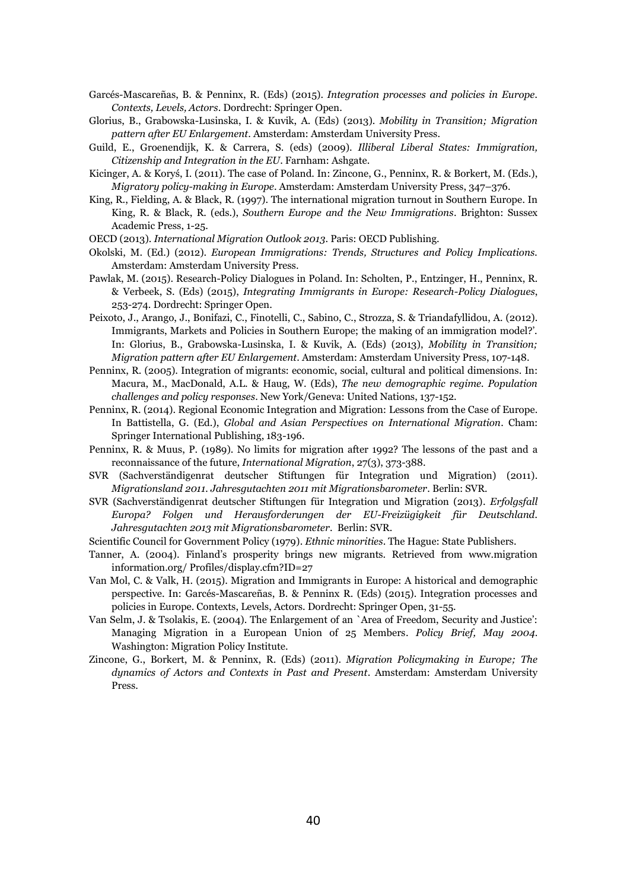- Garcés-Mascareñas, B. & Penninx, R. (Eds) (2015). *Integration processes and policies in Europe. Contexts, Levels, Actors*. Dordrecht: Springer Open.
- Glorius, B., Grabowska-Lusinska, I. & Kuvik, A. (Eds) (2013). *Mobility in Transition; Migration pattern after EU Enlargement*. Amsterdam: Amsterdam University Press.
- Guild, E., Groenendijk, K. & Carrera, S. (eds) (2009). *Illiberal Liberal States: Immigration, Citizenship and Integration in the EU*. Farnham: Ashgate.
- Kicinger, A. & Koryś, I. (2011). The case of Poland. In: Zincone, G., Penninx, R. & Borkert, M. (Eds.), *Migratory policy-making in Europe*. Amsterdam: Amsterdam University Press, 347–376.
- King, R., Fielding, A. & Black, R. (1997). The international migration turnout in Southern Europe. In King, R. & Black, R. (eds.), *Southern Europe and the New Immigrations*. Brighton: Sussex Academic Press, 1-25.
- OECD (2013). *International Migration Outlook 2013*. Paris: OECD Publishing.
- Okolski, M. (Ed.) (2012). *European Immigrations: Trends, Structures and Policy Implications.* Amsterdam: Amsterdam University Press.
- Pawlak, M. (2015). Research-Policy Dialogues in Poland. In: Scholten, P., Entzinger, H., Penninx, R. & Verbeek, S. (Eds) (2015), *Integrating Immigrants in Europe: Research-Policy Dialogues*, 253-274. Dordrecht: Springer Open.
- Peixoto, J., Arango, J., Bonifazi, C., Finotelli, C., Sabino, C., Strozza, S. & Triandafyllidou, A. (2012). Immigrants, Markets and Policies in Southern Europe; the making of an immigration model?'. In: Glorius, B., Grabowska-Lusinska, I. & Kuvik, A. (Eds) (2013), *Mobility in Transition; Migration pattern after EU Enlargement*. Amsterdam: Amsterdam University Press, 107-148.
- Penninx, R. (2005). Integration of migrants: economic, social, cultural and political dimensions. In: Macura, M., MacDonald, A.L. & Haug, W. (Eds), *The new demographic regime. Population challenges and policy responses*. New York/Geneva: United Nations, 137-152.
- Penninx, R. (2014). Regional Economic Integration and Migration: Lessons from the Case of Europe. In Battistella, G. (Ed.), *Global and Asian Perspectives on International Migration*. Cham: Springer International Publishing, 183-196.
- Penninx, R. & Muus, P. (1989). No limits for migration after 1992? The lessons of the past and a reconnaissance of the future, *International Migration*, 27(3), 373-388.
- SVR (Sachverständigenrat deutscher Stiftungen für Integration und Migration) (2011). *Migrationsland 2011. Jahresgutachten 2011 mit Migrationsbarometer*. Berlin: SVR.
- SVR (Sachverständigenrat deutscher Stiftungen für Integration und Migration (2013). *Erfolgsfall Europa? Folgen und Herausforderungen der EU-Freizügigkeit für Deutschland. Jahresgutachten 2013 mit Migrationsbarometer*. Berlin: SVR.
- Scientific Council for Government Policy (1979). *Ethnic minorities*. The Hague: State Publishers.
- Tanner, A. (2004). Finland's prosperity brings new migrants. Retrieved from www.migration information.org/ Profiles/display.cfm?ID=27
- Van Mol, C. & Valk, H. (2015). Migration and Immigrants in Europe: A historical and demographic perspective. In: Garcés-Mascareñas, B. & Penninx R. (Eds) (2015). Integration processes and policies in Europe. Contexts, Levels, Actors. Dordrecht: Springer Open, 31-55.
- Van Selm, J. & Tsolakis, E. (2004). The Enlargement of an `Area of Freedom, Security and Justice': Managing Migration in a European Union of 25 Members. *Policy Brief, May 2004*. Washington: Migration Policy Institute.
- Zincone, G., Borkert, M. & Penninx, R. (Eds) (2011). *Migration Policymaking in Europe; The dynamics of Actors and Contexts in Past and Present*. Amsterdam: Amsterdam University Press.